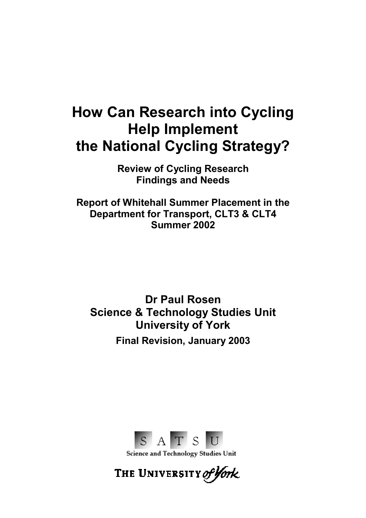# **How Can Research into Cycling Help Implement the National Cycling Strategy?**

**Review of Cycling Research Findings and Needs** 

**Report of Whitehall Summer Placement in the Department for Transport, CLT3 & CLT4 Summer 2002** 

**Dr Paul Rosen Science & Technology Studies Unit University of York Final Revision, January 2003** 



Science and Technology Studies Unit

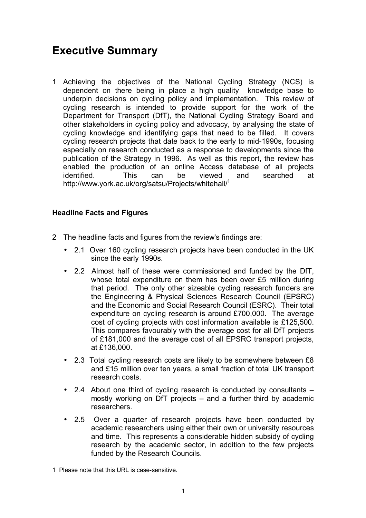# **Executive Summary**

1 Achieving the objectives of the National Cycling Strategy (NCS) is dependent on there being in place a high quality knowledge base to underpin decisions on cycling policy and implementation. This review of cycling research is intended to provide support for the work of the Department for Transport (DfT), the National Cycling Strategy Board and other stakeholders in cycling policy and advocacy, by analysing the state of cycling knowledge and identifying gaps that need to be filled. It covers cycling research projects that date back to the early to mid-1990s, focusing especially on research conducted as a response to developments since the publication of the Strategy in 1996. As well as this report, the review has enabled the production of an online Access database of all projects identified. This can be viewed and searched at http://www.york.ac.uk/org/satsu/Projects/whitehall/<sup>1</sup>

#### **Headline Facts and Figures**

- 2 The headline facts and figures from the review's findings are:
	- 2.1 Over 160 cycling research projects have been conducted in the UK since the early 1990s.
	- 2.2 Almost half of these were commissioned and funded by the DfT, whose total expenditure on them has been over £5 million during that period. The only other sizeable cycling research funders are the Engineering & Physical Sciences Research Council (EPSRC) and the Economic and Social Research Council (ESRC). Their total expenditure on cycling research is around £700,000. The average cost of cycling projects with cost information available is £125,500. This compares favourably with the average cost for all DfT projects of £181,000 and the average cost of all EPSRC transport projects, at £136,000.
	- 2.3 Total cycling research costs are likely to be somewhere between £8 and £15 million over ten years, a small fraction of total UK transport research costs.
	- 2.4 About one third of cycling research is conducted by consultants  $$ mostly working on DfT projects  $-$  and a further third by academic researchers.
	- 2.5 Over a quarter of research projects have been conducted by academic researchers using either their own or university resources and time. This represents a considerable hidden subsidy of cycling research by the academic sector, in addition to the few projects funded by the Research Councils.

 $\overline{a}$ 

<sup>1</sup> Please note that this URL is case-sensitive.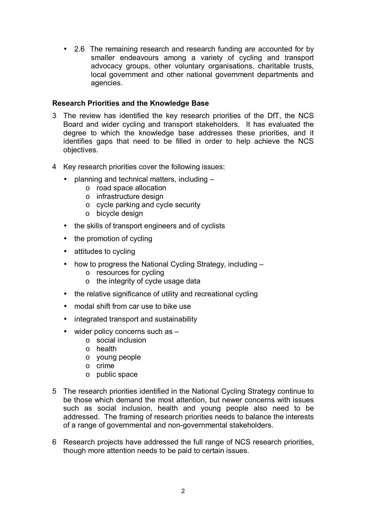• 2.6 The remaining research and research funding are accounted for by smaller endeavours among a variety of cycling and transport advocacy groups, other voluntary organisations, charitable trusts, local government and other national government departments and agencies.

#### **Research Priorities and the Knowledge Base**

- 3 The review has identified the key research priorities of the DfT, the NCS Board and wider cycling and transport stakeholders. It has evaluated the degree to which the knowledge base addresses these priorities, and it identifies gaps that need to be filled in order to help achieve the NCS objectives.
- 4 Key research priorities cover the following issues:
	- planning and technical matters, including  $$ 
		- o road space allocation
		- o infrastructure design
		- o cycle parking and cycle security
		- o bicycle design
	- the skills of transport engineers and of cyclists
	- the promotion of cycling
	- attitudes to cycling
	- how to progress the National Cycling Strategy, including  $$ 
		- o resources for cycling
		- o the integrity of cycle usage data
	- the relative significance of utility and recreational cycling
	- modal shift from car use to bike use
	- integrated transport and sustainability
	- $\bullet$  wider policy concerns such as  $$ 
		- o social inclusion
		- o health
		- o young people
		- o crime
		- o public space
- 5 The research priorities identified in the National Cycling Strategy continue to be those which demand the most attention, but newer concerns with issues such as social inclusion, health and young people also need to be addressed. The framing of research priorities needs to balance the interests of a range of governmental and non-governmental stakeholders.
- 6 Research projects have addressed the full range of NCS research priorities, though more attention needs to be paid to certain issues.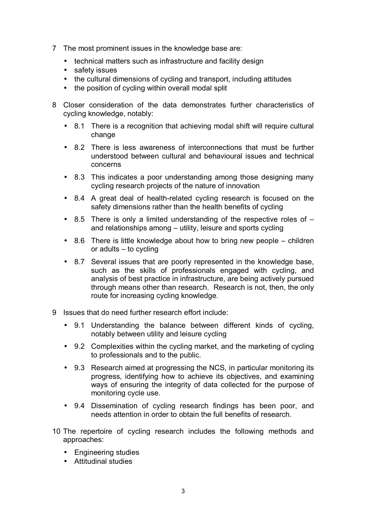- 7 The most prominent issues in the knowledge base are:
	- technical matters such as infrastructure and facility design
	- safety issues
	- the cultural dimensions of cycling and transport, including attitudes
	- the position of cycling within overall modal split
- 8 Closer consideration of the data demonstrates further characteristics of cycling knowledge, notably:
	- 8.1 There is a recognition that achieving modal shift will require cultural change
	- 8.2 There is less awareness of interconnections that must be further understood between cultural and behavioural issues and technical concerns
	- 8.3 This indicates a poor understanding among those designing many cycling research projects of the nature of innovation
	- 8.4 A great deal of health-related cycling research is focused on the safety dimensions rather than the health benefits of cycling
	- 8.5 There is only a limited understanding of the respective roles of  $$ and relationships among  $-$  utility, leisure and sports cycling
	- $\bullet$  8.6 There is little knowledge about how to bring new people children or adults  $-$  to cycling
	- 8.7 Several issues that are poorly represented in the knowledge base, such as the skills of professionals engaged with cycling, and analysis of best practice in infrastructure, are being actively pursued through means other than research. Research is not, then, the only route for increasing cycling knowledge.
- 9 Issues that do need further research effort include:
	- 9.1 Understanding the balance between different kinds of cycling, notably between utility and leisure cycling
	- 9.2 Complexities within the cycling market, and the marketing of cycling to professionals and to the public.
	- 9.3 Research aimed at progressing the NCS, in particular monitoring its progress, identifying how to achieve its objectives, and examining ways of ensuring the integrity of data collected for the purpose of monitoring cycle use.
	- 9.4 Dissemination of cycling research findings has been poor, and needs attention in order to obtain the full benefits of research.
- 10 The repertoire of cycling research includes the following methods and approaches:
	- Engineering studies
	- Attitudinal studies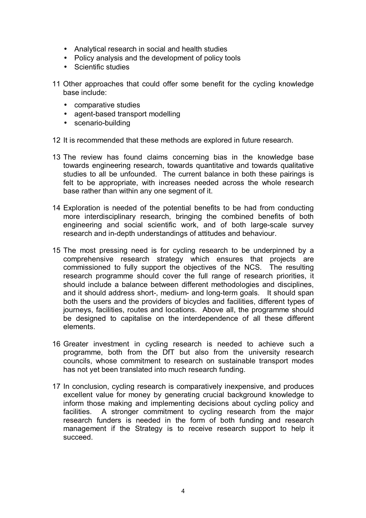- Analytical research in social and health studies
- Policy analysis and the development of policy tools
- Scientific studies
- 11 Other approaches that could offer some benefit for the cycling knowledge base include:
	- comparative studies
	- agent-based transport modelling
	- scenario-building
- 12 It is recommended that these methods are explored in future research.
- 13 The review has found claims concerning bias in the knowledge base towards engineering research, towards quantitative and towards qualitative studies to all be unfounded. The current balance in both these pairings is felt to be appropriate, with increases needed across the whole research base rather than within any one segment of it.
- 14 Exploration is needed of the potential benefits to be had from conducting more interdisciplinary research, bringing the combined benefits of both engineering and social scientific work, and of both large-scale survey research and in-depth understandings of attitudes and behaviour.
- 15 The most pressing need is for cycling research to be underpinned by a comprehensive research strategy which ensures that projects are commissioned to fully support the objectives of the NCS. The resulting research programme should cover the full range of research priorities, it should include a balance between different methodologies and disciplines, and it should address short-, medium- and long-term goals. It should span both the users and the providers of bicycles and facilities, different types of journeys, facilities, routes and locations. Above all, the programme should be designed to capitalise on the interdependence of all these different elements.
- 16 Greater investment in cycling research is needed to achieve such a programme, both from the DfT but also from the university research councils, whose commitment to research on sustainable transport modes has not yet been translated into much research funding.
- 17 In conclusion, cycling research is comparatively inexpensive, and produces excellent value for money by generating crucial background knowledge to inform those making and implementing decisions about cycling policy and facilities. A stronger commitment to cycling research from the major research funders is needed in the form of both funding and research management if the Strategy is to receive research support to help it succeed.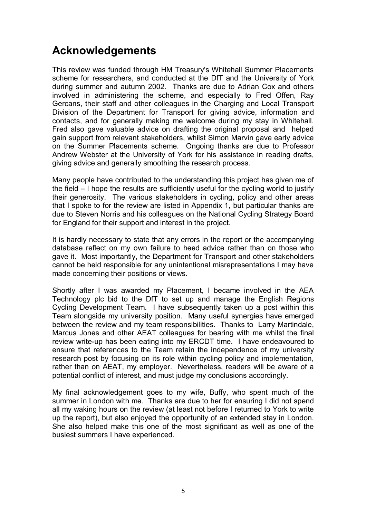# **Acknowledgements**

This review was funded through HM Treasury's Whitehall Summer Placements scheme for researchers, and conducted at the DfT and the University of York during summer and autumn 2002. Thanks are due to Adrian Cox and others involved in administering the scheme, and especially to Fred Offen, Ray Gercans, their staff and other colleagues in the Charging and Local Transport Division of the Department for Transport for giving advice, information and contacts, and for generally making me welcome during my stay in Whitehall. Fred also gave valuable advice on drafting the original proposal and helped gain support from relevant stakeholders, whilst Simon Marvin gave early advice on the Summer Placements scheme. Ongoing thanks are due to Professor Andrew Webster at the University of York for his assistance in reading drafts, giving advice and generally smoothing the research process.

Many people have contributed to the understanding this project has given me of the field  $-1$  hope the results are sufficiently useful for the cycling world to justify their generosity. The various stakeholders in cycling, policy and other areas that I spoke to for the review are listed in Appendix 1, but particular thanks are due to Steven Norris and his colleagues on the National Cycling Strategy Board for England for their support and interest in the project.

It is hardly necessary to state that any errors in the report or the accompanying database reflect on my own failure to heed advice rather than on those who gave it. Most importantly, the Department for Transport and other stakeholders cannot be held responsible for any unintentional misrepresentations I may have made concerning their positions or views.

Shortly after I was awarded my Placement, I became involved in the AEA Technology plc bid to the DfT to set up and manage the English Regions Cycling Development Team. I have subsequently taken up a post within this Team alongside my university position. Many useful synergies have emerged between the review and my team responsibilities. Thanks to Larry Martindale, Marcus Jones and other AEAT colleagues for bearing with me whilst the final review write-up has been eating into my ERCDT time. I have endeavoured to ensure that references to the Team retain the independence of my university research post by focusing on its role within cycling policy and implementation, rather than on AEAT, my employer. Nevertheless, readers will be aware of a potential conflict of interest, and must judge my conclusions accordingly.

My final acknowledgement goes to my wife, Buffy, who spent much of the summer in London with me. Thanks are due to her for ensuring I did not spend all my waking hours on the review (at least not before I returned to York to write up the report), but also enjoyed the opportunity of an extended stay in London. She also helped make this one of the most significant as well as one of the busiest summers I have experienced.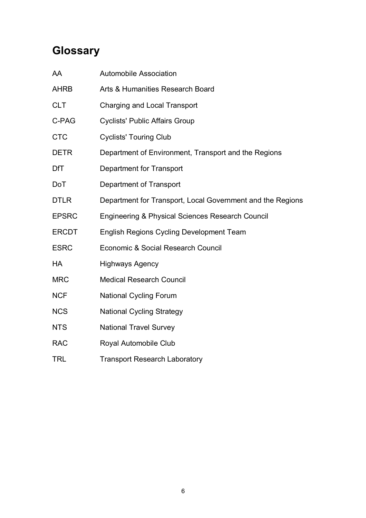# **Glossary**

| AA           | <b>Automobile Association</b>                              |
|--------------|------------------------------------------------------------|
| <b>AHRB</b>  | Arts & Humanities Research Board                           |
| <b>CLT</b>   | Charging and Local Transport                               |
| C-PAG        | <b>Cyclists' Public Affairs Group</b>                      |
| <b>CTC</b>   | <b>Cyclists' Touring Club</b>                              |
| <b>DETR</b>  | Department of Environment, Transport and the Regions       |
| <b>DfT</b>   | <b>Department for Transport</b>                            |
| <b>DoT</b>   | Department of Transport                                    |
| <b>DTLR</b>  | Department for Transport, Local Government and the Regions |
| <b>EPSRC</b> | Engineering & Physical Sciences Research Council           |
| <b>ERCDT</b> | <b>English Regions Cycling Development Team</b>            |
| <b>ESRC</b>  | Economic & Social Research Council                         |
| HA           | <b>Highways Agency</b>                                     |
| <b>MRC</b>   | <b>Medical Research Council</b>                            |
| <b>NCF</b>   | <b>National Cycling Forum</b>                              |
| <b>NCS</b>   | <b>National Cycling Strategy</b>                           |
| <b>NTS</b>   | <b>National Travel Survey</b>                              |
| <b>RAC</b>   | Royal Automobile Club                                      |
| <b>TRL</b>   | <b>Transport Research Laboratory</b>                       |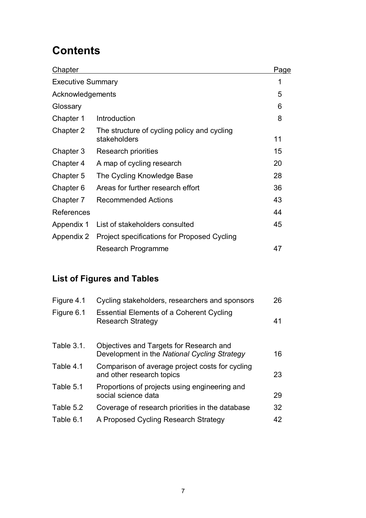# **Contents**

| <b>Chapter</b>           |                                                             | Page |
|--------------------------|-------------------------------------------------------------|------|
| <b>Executive Summary</b> |                                                             | 1    |
| Acknowledgements         |                                                             | 5    |
| Glossary                 |                                                             | 6    |
| Chapter 1                | Introduction                                                | 8    |
| Chapter 2                | The structure of cycling policy and cycling<br>stakeholders | 11   |
| Chapter 3                | Research priorities                                         | 15   |
| Chapter 4                | A map of cycling research                                   | 20   |
| Chapter 5                | The Cycling Knowledge Base                                  | 28   |
| Chapter 6                | Areas for further research effort                           | 36   |
| Chapter 7                | <b>Recommended Actions</b>                                  | 43   |
| References               |                                                             | 44   |
| Appendix 1               | List of stakeholders consulted                              | 45   |
| Appendix 2               | Project specifications for Proposed Cycling                 |      |
|                          | Research Programme                                          | 47   |

### **List of Figures and Tables**

| Figure 4.1        | Cycling stakeholders, researchers and sponsors                                          | 26 |
|-------------------|-----------------------------------------------------------------------------------------|----|
| Figure 6.1        | <b>Essential Elements of a Coherent Cycling</b><br><b>Research Strategy</b>             | 41 |
| <b>Table 3.1.</b> | Objectives and Targets for Research and<br>Development in the National Cycling Strategy | 16 |
| Table 4.1         | Comparison of average project costs for cycling<br>and other research topics            | 23 |
| Table 5.1         | Proportions of projects using engineering and<br>social science data                    | 29 |
| Table 5.2         | Coverage of research priorities in the database                                         | 32 |
| Table 6.1         | A Proposed Cycling Research Strategy                                                    | 42 |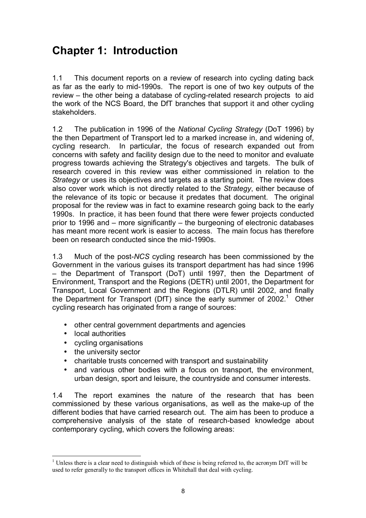# **Chapter 1: Introduction**

1.1 This document reports on a review of research into cycling dating back as far as the early to mid-1990s. The report is one of two key outputs of the review – the other being a database of cycling-related research projects to aid the work of the NCS Board, the DfT branches that support it and other cycling stakeholders.

1.2 The publication in 1996 of the *National Cycling Strategy* (DoT 1996) by the then Department of Transport led to a marked increase in, and widening of, cycling research. In particular, the focus of research expanded out from concerns with safety and facility design due to the need to monitor and evaluate progress towards achieving the Strategy's objectives and targets. The bulk of research covered in this review was either commissioned in relation to the *Strategy* or uses its objectives and targets as a starting point. The review does also cover work which is not directly related to the *Strategy*, either because of the relevance of its topic or because it predates that document. The original proposal for the review was in fact to examine research going back to the early 1990s. In practice, it has been found that there were fewer projects conducted prior to 1996 and  $-$  more significantly  $-$  the burgeoning of electronic databases has meant more recent work is easier to access. The main focus has therefore been on research conducted since the mid-1990s.

1.3 Much of the post-*NCS* cycling research has been commissioned by the Government in the various guises its transport department has had since 1996 - the Department of Transport (DoT) until 1997, then the Department of Environment, Transport and the Regions (DETR) until 2001, the Department for Transport, Local Government and the Regions (DTLR) until 2002, and finally the Department for Transport (DfT) since the early summer of 2002.<sup>1</sup> Other cycling research has originated from a range of sources:

- other central government departments and agencies
- local authorities
- cycling organisations
- the university sector
- charitable trusts concerned with transport and sustainability
- and various other bodies with a focus on transport, the environment, urban design, sport and leisure, the countryside and consumer interests.

1.4 The report examines the nature of the research that has been commissioned by these various organisations, as well as the make-up of the different bodies that have carried research out. The aim has been to produce a comprehensive analysis of the state of research-based knowledge about contemporary cycling, which covers the following areas:

 $\overline{a}$ <sup>1</sup> Unless there is a clear need to distinguish which of these is being referred to, the acronym DfT will be used to refer generally to the transport offices in Whitehall that deal with cycling.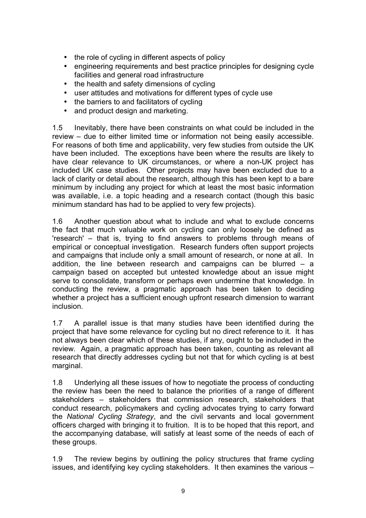- the role of cycling in different aspects of policy
- engineering requirements and best practice principles for designing cycle facilities and general road infrastructure
- the health and safety dimensions of cycling
- user attitudes and motivations for different types of cycle use
- the barriers to and facilitators of cycling
- and product design and marketing.

1.5 Inevitably, there have been constraints on what could be included in the review – due to either limited time or information not being easily accessible. For reasons of both time and applicability, very few studies from outside the UK have been included. The exceptions have been where the results are likely to have clear relevance to UK circumstances, or where a non-UK project has included UK case studies. Other projects may have been excluded due to a lack of clarity or detail about the research, although this has been kept to a bare minimum by including any project for which at least the most basic information was available, i.e. a topic heading and a research contact (though this basic minimum standard has had to be applied to very few projects).

1.6 Another question about what to include and what to exclude concerns the fact that much valuable work on cycling can only loosely be defined as 'research' – that is, trying to find answers to problems through means of empirical or conceptual investigation. Research funders often support projects and campaigns that include only a small amount of research, or none at all. In addition, the line between research and campaigns can be blurred  $-$  a campaign based on accepted but untested knowledge about an issue might serve to consolidate, transform or perhaps even undermine that knowledge. In conducting the review, a pragmatic approach has been taken to deciding whether a project has a sufficient enough upfront research dimension to warrant inclusion.

1.7 A parallel issue is that many studies have been identified during the project that have some relevance for cycling but no direct reference to it. It has not always been clear which of these studies, if any, ought to be included in the review. Again, a pragmatic approach has been taken, counting as relevant all research that directly addresses cycling but not that for which cycling is at best marginal.

1.8 Underlying all these issues of how to negotiate the process of conducting the review has been the need to balance the priorities of a range of different stakeholders – stakeholders that commission research, stakeholders that conduct research, policymakers and cycling advocates trying to carry forward the *National Cycling Strategy*, and the civil servants and local government officers charged with bringing it to fruition. It is to be hoped that this report, and the accompanying database, will satisfy at least some of the needs of each of these groups.

1.9 The review begins by outlining the policy structures that frame cycling issues, and identifying key cycling stakeholders. It then examines the various –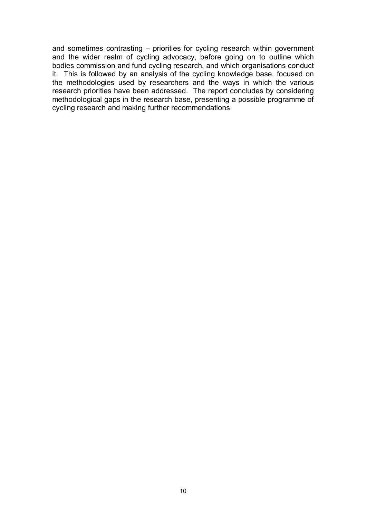and sometimes contrasting  $-$  priorities for cycling research within government and the wider realm of cycling advocacy, before going on to outline which bodies commission and fund cycling research, and which organisations conduct it. This is followed by an analysis of the cycling knowledge base, focused on the methodologies used by researchers and the ways in which the various research priorities have been addressed. The report concludes by considering methodological gaps in the research base, presenting a possible programme of cycling research and making further recommendations.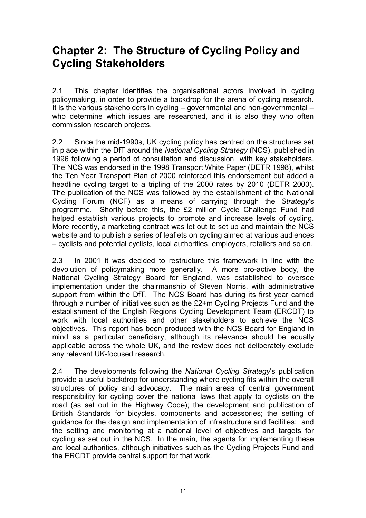### **Chapter 2: The Structure of Cycling Policy and Cycling Stakeholders**

2.1 This chapter identifies the organisational actors involved in cycling policymaking, in order to provide a backdrop for the arena of cycling research. It is the various stakeholders in cycling  $-$  governmental and non-governmental  $$ who determine which issues are researched, and it is also they who often commission research projects.

2.2 Since the mid-1990s, UK cycling policy has centred on the structures set in place within the DfT around the *National Cycling Strategy* (NCS), published in 1996 following a period of consultation and discussion with key stakeholders. The NCS was endorsed in the 1998 Transport White Paper (DETR 1998), whilst the Ten Year Transport Plan of 2000 reinforced this endorsement but added a headline cycling target to a tripling of the 2000 rates by 2010 (DETR 2000). The publication of the NCS was followed by the establishment of the National Cycling Forum (NCF) as a means of carrying through the *Strategy*'s programme. Shortly before this, the £2 million Cycle Challenge Fund had helped establish various projects to promote and increase levels of cycling. More recently, a marketing contract was let out to set up and maintain the NCS website and to publish a series of leaflets on cycling aimed at various audiences  $-$  cyclists and potential cyclists, local authorities, employers, retailers and so on.

2.3 In 2001 it was decided to restructure this framework in line with the devolution of policymaking more generally. A more pro-active body, the National Cycling Strategy Board for England, was established to oversee implementation under the chairmanship of Steven Norris, with administrative support from within the DfT. The NCS Board has during its first year carried through a number of initiatives such as the £2+m Cycling Projects Fund and the establishment of the English Regions Cycling Development Team (ERCDT) to work with local authorities and other stakeholders to achieve the NCS objectives. This report has been produced with the NCS Board for England in mind as a particular beneficiary, although its relevance should be equally applicable across the whole UK, and the review does not deliberately exclude any relevant UK-focused research.

2.4 The developments following the *National Cycling Strategy*'s publication provide a useful backdrop for understanding where cycling fits within the overall structures of policy and advocacy. The main areas of central government responsibility for cycling cover the national laws that apply to cyclists on the road (as set out in the Highway Code); the development and publication of British Standards for bicycles, components and accessories; the setting of guidance for the design and implementation of infrastructure and facilities; and the setting and monitoring at a national level of objectives and targets for cycling as set out in the NCS. In the main, the agents for implementing these are local authorities, although initiatives such as the Cycling Projects Fund and the ERCDT provide central support for that work.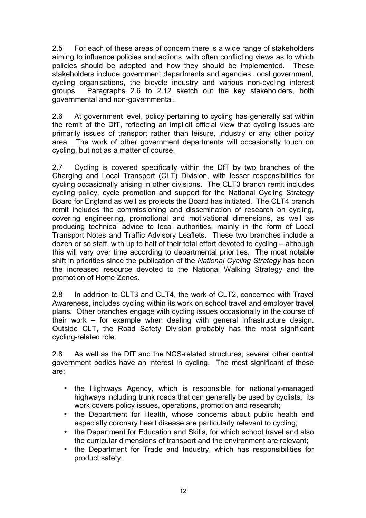2.5 For each of these areas of concern there is a wide range of stakeholders aiming to influence policies and actions, with often conflicting views as to which policies should be adopted and how they should be implemented. These stakeholders include government departments and agencies, local government, cycling organisations, the bicycle industry and various non-cycling interest groups. Paragraphs 2.6 to 2.12 sketch out the key stakeholders, both governmental and non-governmental.

2.6 At government level, policy pertaining to cycling has generally sat within the remit of the DfT, reflecting an implicit official view that cycling issues are primarily issues of transport rather than leisure, industry or any other policy area. The work of other government departments will occasionally touch on cycling, but not as a matter of course.

2.7 Cycling is covered specifically within the DfT by two branches of the Charging and Local Transport (CLT) Division, with lesser responsibilities for cycling occasionally arising in other divisions. The CLT3 branch remit includes cycling policy, cycle promotion and support for the National Cycling Strategy Board for England as well as projects the Board has initiated. The CLT4 branch remit includes the commissioning and dissemination of research on cycling, covering engineering, promotional and motivational dimensions, as well as producing technical advice to local authorities, mainly in the form of Local Transport Notes and Traffic Advisory Leaflets. These two branches include a dozen or so staff, with up to half of their total effort devoted to cycling  $-$  although this will vary over time according to departmental priorities. The most notable shift in priorities since the publication of the *National Cycling Strategy* has been the increased resource devoted to the National Walking Strategy and the promotion of Home Zones.

2.8 In addition to CLT3 and CLT4, the work of CLT2, concerned with Travel Awareness, includes cycling within its work on school travel and employer travel plans. Other branches engage with cycling issues occasionally in the course of their work  $-$  for example when dealing with general infrastructure design. Outside CLT, the Road Safety Division probably has the most significant cycling-related role.

2.8 As well as the DfT and the NCS-related structures, several other central government bodies have an interest in cycling. The most significant of these are:

- the Highways Agency, which is responsible for nationally-managed highways including trunk roads that can generally be used by cyclists; its work covers policy issues, operations, promotion and research;
- the Department for Health, whose concerns about public health and especially coronary heart disease are particularly relevant to cycling;
- the Department for Education and Skills, for which school travel and also the curricular dimensions of transport and the environment are relevant;
- the Department for Trade and Industry, which has responsibilities for product safety;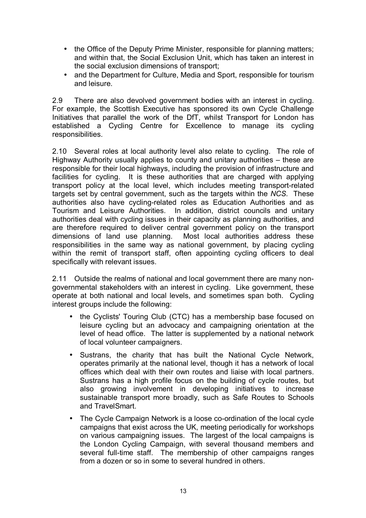- the Office of the Deputy Prime Minister, responsible for planning matters; and within that, the Social Exclusion Unit, which has taken an interest in the social exclusion dimensions of transport;
- and the Department for Culture, Media and Sport, responsible for tourism and leisure.

2.9 There are also devolved government bodies with an interest in cycling. For example, the Scottish Executive has sponsored its own Cycle Challenge Initiatives that parallel the work of the DfT, whilst Transport for London has established a Cycling Centre for Excellence to manage its cycling responsibilities.

2.10 Several roles at local authority level also relate to cycling. The role of Highway Authority usually applies to county and unitary authorities  $-$  these are responsible for their local highways, including the provision of infrastructure and facilities for cycling. It is these authorities that are charged with applying transport policy at the local level, which includes meeting transport-related targets set by central government, such as the targets within the *NCS*. These authorities also have cycling-related roles as Education Authorities and as Tourism and Leisure Authorities. In addition, district councils and unitary authorities deal with cycling issues in their capacity as planning authorities, and are therefore required to deliver central government policy on the transport dimensions of land use planning. Most local authorities address these responsibilities in the same way as national government, by placing cycling within the remit of transport staff, often appointing cycling officers to deal specifically with relevant issues.

2.11 Outside the realms of national and local government there are many nongovernmental stakeholders with an interest in cycling. Like government, these operate at both national and local levels, and sometimes span both. Cycling interest groups include the following:

- the Cyclists' Touring Club (CTC) has a membership base focused on leisure cycling but an advocacy and campaigning orientation at the level of head office. The latter is supplemented by a national network of local volunteer campaigners.
- Sustrans, the charity that has built the National Cycle Network, operates primarily at the national level, though it has a network of local offices which deal with their own routes and liaise with local partners. Sustrans has a high profile focus on the building of cycle routes, but also growing involvement in developing initiatives to increase sustainable transport more broadly, such as Safe Routes to Schools and TravelSmart.
- The Cycle Campaign Network is a loose co-ordination of the local cycle campaigns that exist across the UK, meeting periodically for workshops on various campaigning issues. The largest of the local campaigns is the London Cycling Campaign, with several thousand members and several full-time staff. The membership of other campaigns ranges from a dozen or so in some to several hundred in others.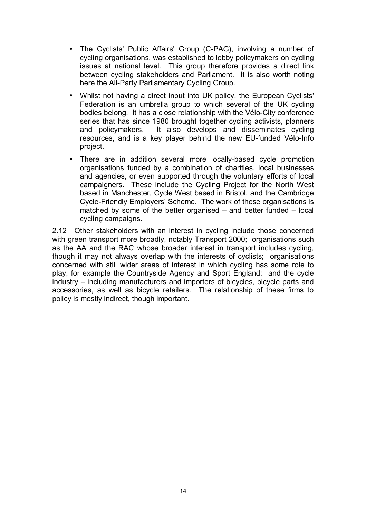- The Cyclists' Public Affairs' Group (C-PAG), involving a number of cycling organisations, was established to lobby policymakers on cycling issues at national level. This group therefore provides a direct link between cycling stakeholders and Parliament. It is also worth noting here the All-Party Parliamentary Cycling Group.
- Whilst not having a direct input into UK policy, the European Cyclists' Federation is an umbrella group to which several of the UK cycling bodies belong. It has a close relationship with the Vélo-City conference series that has since 1980 brought together cycling activists, planners and policymakers. It also develops and disseminates cycling resources, and is a key player behind the new EU-funded Vélo-Info project.
- There are in addition several more locally-based cycle promotion organisations funded by a combination of charities, local businesses and agencies, or even supported through the voluntary efforts of local campaigners. These include the Cycling Project for the North West based in Manchester, Cycle West based in Bristol, and the Cambridge Cycle-Friendly Employers' Scheme. The work of these organisations is matched by some of the better organised  $-$  and better funded  $-$  local cycling campaigns.

2.12 Other stakeholders with an interest in cycling include those concerned with green transport more broadly, notably Transport 2000; organisations such as the AA and the RAC whose broader interest in transport includes cycling, though it may not always overlap with the interests of cyclists; organisations concerned with still wider areas of interest in which cycling has some role to play, for example the Countryside Agency and Sport England; and the cycle industry – including manufacturers and importers of bicycles, bicycle parts and accessories, as well as bicycle retailers. The relationship of these firms to policy is mostly indirect, though important.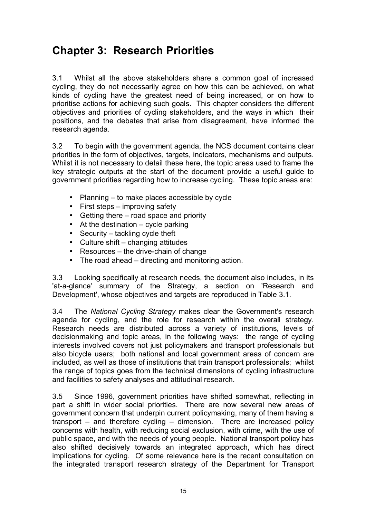### **Chapter 3: Research Priorities**

3.1 Whilst all the above stakeholders share a common goal of increased cycling, they do not necessarily agree on how this can be achieved, on what kinds of cycling have the greatest need of being increased, or on how to prioritise actions for achieving such goals. This chapter considers the different objectives and priorities of cycling stakeholders, and the ways in which their positions, and the debates that arise from disagreement, have informed the research agenda.

3.2 To begin with the government agenda, the NCS document contains clear priorities in the form of objectives, targets, indicators, mechanisms and outputs. Whilst it is not necessary to detail these here, the topic areas used to frame the key strategic outputs at the start of the document provide a useful guide to government priorities regarding how to increase cycling. These topic areas are:

- Planning  $-$  to make places accessible by cycle
- $\bullet$  First steps improving safety
- Getting there  $-$  road space and priority
- At the destination  $-$  cycle parking
- Security  $-$  tackling cycle theft
- $\bullet$  Culture shift changing attitudes
- Resources  $-$  the drive-chain of change
- $\bullet$  The road ahead directing and monitoring action.

3.3 Looking specifically at research needs, the document also includes, in its 'at-a-glance' summary of the Strategy, a section on 'Research and Development', whose objectives and targets are reproduced in Table 3.1.

3.4 The *National Cycling Strategy* makes clear the Government's research agenda for cycling, and the role for research within the overall strategy. Research needs are distributed across a variety of institutions, levels of decisionmaking and topic areas, in the following ways: the range of cycling interests involved covers not just policymakers and transport professionals but also bicycle users; both national and local government areas of concern are included, as well as those of institutions that train transport professionals; whilst the range of topics goes from the technical dimensions of cycling infrastructure and facilities to safety analyses and attitudinal research.

3.5 Since 1996, government priorities have shifted somewhat, reflecting in part a shift in wider social priorities. There are now several new areas of government concern that underpin current policymaking, many of them having a transport  $-$  and therefore cycling  $-$  dimension. There are increased policy concerns with health, with reducing social exclusion, with crime, with the use of public space, and with the needs of young people. National transport policy has also shifted decisively towards an integrated approach, which has direct implications for cycling. Of some relevance here is the recent consultation on the integrated transport research strategy of the Department for Transport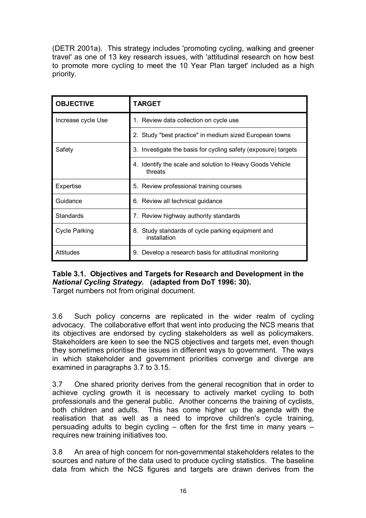(DETR 2001a). This strategy includes 'promoting cycling, walking and greener travel' as one of 13 key research issues, with 'attitudinal research on how best to promote more cycling to meet the 10 Year Plan target' included as a high priority.

| <b>OBJECTIVE</b>     | TARGET                                                               |
|----------------------|----------------------------------------------------------------------|
| Increase cycle Use   | 1. Review data collection on cycle use                               |
|                      | Study "best practice" in medium sized European towns<br>2.           |
| Safety               | 3. Investigate the basis for cycling safety (exposure) targets       |
|                      | 4. Identify the scale and solution to Heavy Goods Vehicle<br>threats |
| Expertise            | 5. Review professional training courses                              |
| Guidance             | 6. Review all technical guidance                                     |
| <b>Standards</b>     | 7. Review highway authority standards                                |
| <b>Cycle Parking</b> | 8. Study standards of cycle parking equipment and<br>installation    |
| Attitudes            | 9. Develop a research basis for attitudinal monitoring               |

#### **Table 3.1. Objectives and Targets for Research and Development in the**  *National Cycling Strategy***. (adapted from DoT 1996: 30).**

Target numbers not from original document.

3.6 Such policy concerns are replicated in the wider realm of cycling advocacy. The collaborative effort that went into producing the NCS means that its objectives are endorsed by cycling stakeholders as well as policymakers. Stakeholders are keen to see the NCS objectives and targets met, even though they sometimes prioritise the issues in different ways to government. The ways in which stakeholder and government priorities converge and diverge are examined in paragraphs 3.7 to 3.15.

3.7 One shared priority derives from the general recognition that in order to achieve cycling growth it is necessary to actively market cycling to both professionals and the general public. Another concerns the training of cyclists, both children and adults. This has come higher up the agenda with the realisation that as well as a need to improve children's cycle training, persuading adults to begin cycling  $-$  often for the first time in many years  $$ requires new training initiatives too.

3.8 An area of high concern for non-governmental stakeholders relates to the sources and nature of the data used to produce cycling statistics. The baseline data from which the NCS figures and targets are drawn derives from the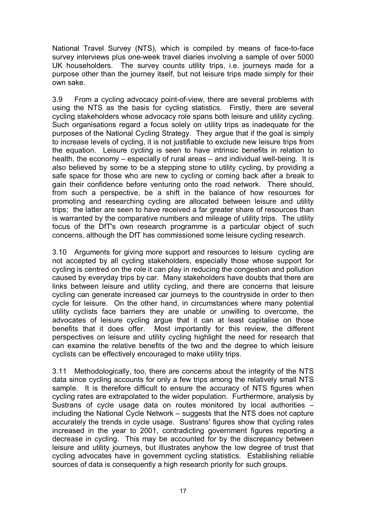National Travel Survey (NTS), which is compiled by means of face-to-face survey interviews plus one-week travel diaries involving a sample of over 5000 UK householders. The survey counts utility trips, i.e. journeys made for a purpose other than the journey itself, but not leisure trips made simply for their own sake.

3.9 From a cycling advocacy point-of-view, there are several problems with using the NTS as the basis for cycling statistics. Firstly, there are several cycling stakeholders whose advocacy role spans both leisure and utility cycling. Such organisations regard a focus solely on utility trips as inadequate for the purposes of the National Cycling Strategy. They argue that if the goal is simply to increase levels of cycling, it is not justifiable to exclude new leisure trips from the equation. Leisure cycling is seen to have intrinsic benefits in relation to health, the economy  $-$  especially of rural areas  $-$  and individual well-being. It is also believed by some to be a stepping stone to utility cycling, by providing a safe space for those who are new to cycling or coming back after a break to gain their confidence before venturing onto the road network. There should, from such a perspective, be a shift in the balance of how resources for promoting and researching cycling are allocated between leisure and utility trips; the latter are seen to have received a far greater share of resources than is warranted by the comparative numbers and mileage of utility trips. The utility focus of the DfT's own research programme is a particular object of such concerns, although the DfT has commissioned some leisure cycling research.

3.10 Arguments for giving more support and resources to leisure cycling are not accepted by all cycling stakeholders, especially those whose support for cycling is centred on the role it can play in reducing the congestion and pollution caused by everyday trips by car. Many stakeholders have doubts that there are links between leisure and utility cycling, and there are concerns that leisure cycling can generate increased car journeys to the countryside in order to then cycle for leisure. On the other hand, in circumstances where many potential utility cyclists face barriers they are unable or unwilling to overcome, the advocates of leisure cycling argue that it can at least capitalise on those benefits that it does offer. Most importantly for this review, the different perspectives on leisure and utility cycling highlight the need for research that can examine the relative benefits of the two and the degree to which leisure cyclists can be effectively encouraged to make utility trips.

3.11 Methodologically, too, there are concerns about the integrity of the NTS data since cycling accounts for only a few trips among the relatively small NTS sample. It is therefore difficult to ensure the accuracy of NTS figures when cycling rates are extrapolated to the wider population. Furthermore, analysis by Sustrans of cycle usage data on routes monitored by local authorities  $$ including the National Cycle Network – suggests that the NTS does not capture accurately the trends in cycle usage. Sustrans' figures show that cycling rates increased in the year to 2001, contradicting government figures reporting a decrease in cycling. This may be accounted for by the discrepancy between leisure and utility journeys, but illustrates anyhow the low degree of trust that cycling advocates have in government cycling statistics. Establishing reliable sources of data is consequently a high research priority for such groups.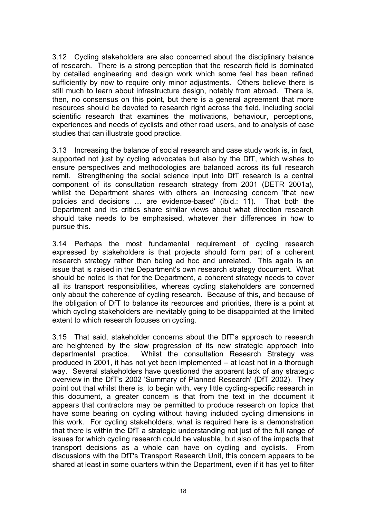3.12 Cycling stakeholders are also concerned about the disciplinary balance of research. There is a strong perception that the research field is dominated by detailed engineering and design work which some feel has been refined sufficiently by now to require only minor adjustments. Others believe there is still much to learn about infrastructure design, notably from abroad. There is, then, no consensus on this point, but there is a general agreement that more resources should be devoted to research right across the field, including social scientific research that examines the motivations, behaviour, perceptions, experiences and needs of cyclists and other road users, and to analysis of case studies that can illustrate good practice.

3.13 Increasing the balance of social research and case study work is, in fact, supported not just by cycling advocates but also by the DfT, which wishes to ensure perspectives and methodologies are balanced across its full research remit. Strengthening the social science input into DfT research is a central component of its consultation research strategy from 2001 (DETR 2001a), whilst the Department shares with others an increasing concern 'that new policies and decisions ... are evidence-based' (ibid.: 11). That both the Department and its critics share similar views about what direction research should take needs to be emphasised, whatever their differences in how to pursue this.

3.14 Perhaps the most fundamental requirement of cycling research expressed by stakeholders is that projects should form part of a coherent research strategy rather than being ad hoc and unrelated. This again is an issue that is raised in the Department's own research strategy document. What should be noted is that for the Department, a coherent strategy needs to cover all its transport responsibilities, whereas cycling stakeholders are concerned only about the coherence of cycling research. Because of this, and because of the obligation of DfT to balance its resources and priorities, there is a point at which cycling stakeholders are inevitably going to be disappointed at the limited extent to which research focuses on cycling.

3.15 That said, stakeholder concerns about the DfT's approach to research are heightened by the slow progression of its new strategic approach into departmental practice. Whilst the consultation Research Strategy was produced in 2001, it has not yet been implemented  $-$  at least not in a thorough way. Several stakeholders have questioned the apparent lack of any strategic overview in the DfT's 2002 'Summary of Planned Research' (DfT 2002). They point out that whilst there is, to begin with, very little cycling-specific research in this document, a greater concern is that from the text in the document it appears that contractors may be permitted to produce research on topics that have some bearing on cycling without having included cycling dimensions in this work. For cycling stakeholders, what is required here is a demonstration that there is within the DfT a strategic understanding not just of the full range of issues for which cycling research could be valuable, but also of the impacts that transport decisions as a whole can have on cycling and cyclists. From discussions with the DfT's Transport Research Unit, this concern appears to be shared at least in some quarters within the Department, even if it has yet to filter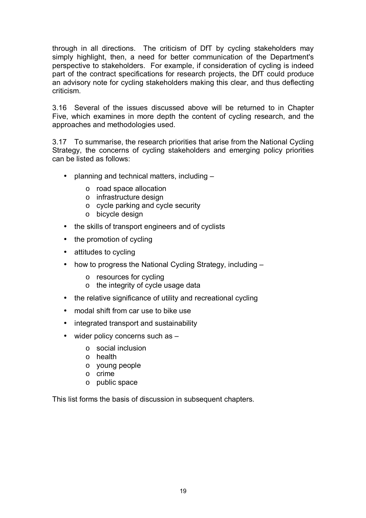through in all directions. The criticism of DfT by cycling stakeholders may simply highlight, then, a need for better communication of the Department's perspective to stakeholders. For example, if consideration of cycling is indeed part of the contract specifications for research projects, the DfT could produce an advisory note for cycling stakeholders making this clear, and thus deflecting criticism.

3.16 Several of the issues discussed above will be returned to in Chapter Five, which examines in more depth the content of cycling research, and the approaches and methodologies used.

3.17 To summarise, the research priorities that arise from the National Cycling Strategy, the concerns of cycling stakeholders and emerging policy priorities can be listed as follows:

- planning and technical matters, including  $$ 
	- o road space allocation
	- o infrastructure design
	- o cycle parking and cycle security
	- o bicycle design
- the skills of transport engineers and of cyclists
- the promotion of cycling
- attitudes to cycling
- how to progress the National Cycling Strategy, including  $$ 
	- o resources for cycling
	- o the integrity of cycle usage data
- the relative significance of utility and recreational cycling
- modal shift from car use to bike use
- integrated transport and sustainability
- $\bullet$  wider policy concerns such as  $$ 
	- o social inclusion
	- o health
	- o young people
	- o crime
	- o public space

This list forms the basis of discussion in subsequent chapters.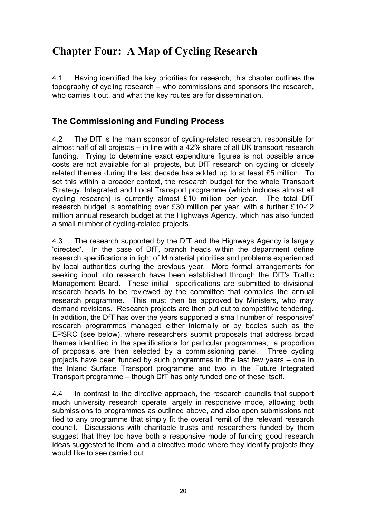# **Chapter Four: A Map of Cycling Research**

4.1 Having identified the key priorities for research, this chapter outlines the topography of cycling research  $-$  who commissions and sponsors the research, who carries it out, and what the key routes are for dissemination.

### **The Commissioning and Funding Process**

4.2 The DfT is the main sponsor of cycling-related research, responsible for almost half of all projects  $-$  in line with a 42% share of all UK transport research funding. Trying to determine exact expenditure figures is not possible since costs are not available for all projects, but DfT research on cycling or closely related themes during the last decade has added up to at least £5 million. To set this within a broader context, the research budget for the whole Transport Strategy, Integrated and Local Transport programme (which includes almost all cycling research) is currently almost £10 million per year. The total DfT research budget is something over £30 million per year, with a further £10-12 million annual research budget at the Highways Agency, which has also funded a small number of cycling-related projects.

4.3 The research supported by the DfT and the Highways Agency is largely 'directed'. In the case of DfT, branch heads within the department define research specifications in light of Ministerial priorities and problems experienced by local authorities during the previous year. More formal arrangements for seeking input into research have been established through the DfT's Traffic Management Board. These initial specifications are submitted to divisional research heads to be reviewed by the committee that compiles the annual research programme. This must then be approved by Ministers, who may demand revisions. Research projects are then put out to competitive tendering. In addition, the DfT has over the years supported a small number of 'responsive' research programmes managed either internally or by bodies such as the EPSRC (see below), where researchers submit proposals that address broad themes identified in the specifications for particular programmes; a proportion of proposals are then selected by a commissioning panel. Three cycling projects have been funded by such programmes in the last few years – one in the Inland Surface Transport programme and two in the Future Integrated Transport programme – though DfT has only funded one of these itself.

4.4 In contrast to the directive approach, the research councils that support much university research operate largely in responsive mode, allowing both submissions to programmes as outlined above, and also open submissions not tied to any programme that simply fit the overall remit of the relevant research council. Discussions with charitable trusts and researchers funded by them suggest that they too have both a responsive mode of funding good research ideas suggested to them, and a directive mode where they identify projects they would like to see carried out.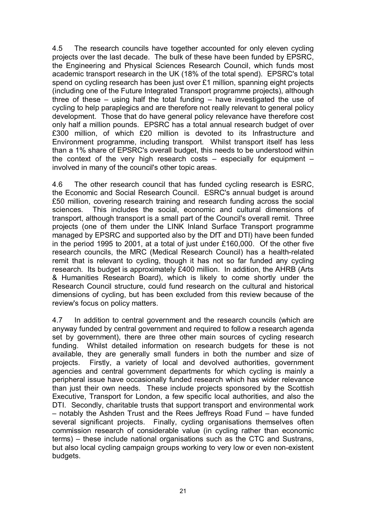4.5 The research councils have together accounted for only eleven cycling projects over the last decade. The bulk of these have been funded by EPSRC, the Engineering and Physical Sciences Research Council, which funds most academic transport research in the UK (18% of the total spend). EPSRC's total spend on cycling research has been just over £1 million, spanning eight projects (including one of the Future Integrated Transport programme projects), although three of these  $-$  using half the total funding  $-$  have investigated the use of cycling to help paraplegics and are therefore not really relevant to general policy development. Those that do have general policy relevance have therefore cost only half a million pounds. EPSRC has a total annual research budget of over £300 million, of which £20 million is devoted to its Infrastructure and Environment programme, including transport. Whilst transport itself has less than a 1% share of EPSRC's overall budget, this needs to be understood within the context of the very high research costs  $-$  especially for equipment  $$ involved in many of the council's other topic areas.

4.6 The other research council that has funded cycling research is ESRC, the Economic and Social Research Council. ESRC's annual budget is around £50 million, covering research training and research funding across the social sciences. This includes the social, economic and cultural dimensions of transport, although transport is a small part of the Council's overall remit. Three projects (one of them under the LINK Inland Surface Transport programme managed by EPSRC and supported also by the DfT and DTI) have been funded in the period 1995 to 2001, at a total of just under £160,000. Of the other five research councils, the MRC (Medical Research Council) has a health-related remit that is relevant to cycling, though it has not so far funded any cycling research. Its budget is approximately £400 million. In addition, the AHRB (Arts & Humanities Research Board), which is likely to come shortly under the Research Council structure, could fund research on the cultural and historical dimensions of cycling, but has been excluded from this review because of the review's focus on policy matters.

4.7 In addition to central government and the research councils (which are anyway funded by central government and required to follow a research agenda set by government), there are three other main sources of cycling research funding. Whilst detailed information on research budgets for these is not available, they are generally small funders in both the number and size of projects. Firstly, a variety of local and devolved authorities, government agencies and central government departments for which cycling is mainly a peripheral issue have occasionally funded research which has wider relevance than just their own needs. These include projects sponsored by the Scottish Executive, Transport for London, a few specific local authorities, and also the DTI. Secondly, charitable trusts that support transport and environmental work  $-$  notably the Ashden Trust and the Rees Jeffreys Road Fund  $-$  have funded several significant projects. Finally, cycling organisations themselves often commission research of considerable value (in cycling rather than economic terms) – these include national organisations such as the CTC and Sustrans, but also local cycling campaign groups working to very low or even non-existent budgets.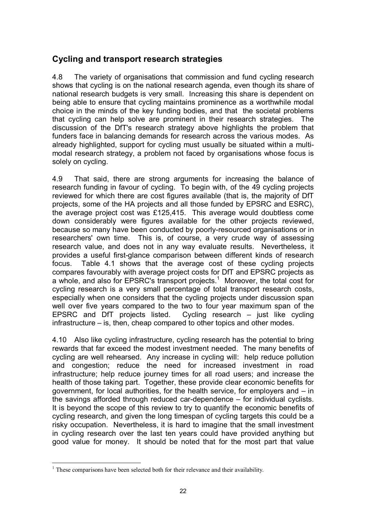### **Cycling and transport research strategies**

4.8 The variety of organisations that commission and fund cycling research shows that cycling is on the national research agenda, even though its share of national research budgets is very small. Increasing this share is dependent on being able to ensure that cycling maintains prominence as a worthwhile modal choice in the minds of the key funding bodies, and that the societal problems that cycling can help solve are prominent in their research strategies. The discussion of the DfT's research strategy above highlights the problem that funders face in balancing demands for research across the various modes. As already highlighted, support for cycling must usually be situated within a multimodal research strategy, a problem not faced by organisations whose focus is solely on cycling.

4.9 That said, there are strong arguments for increasing the balance of research funding in favour of cycling. To begin with, of the 49 cycling projects reviewed for which there are cost figures available (that is, the majority of DfT projects, some of the HA projects and all those funded by EPSRC and ESRC), the average project cost was £125,415. This average would doubtless come down considerably were figures available for the other projects reviewed, because so many have been conducted by poorly-resourced organisations or in researchers' own time. This is, of course, a very crude way of assessing research value, and does not in any way evaluate results. Nevertheless, it provides a useful first-glance comparison between different kinds of research focus. Table 4.1 shows that the average cost of these cycling projects compares favourably with average project costs for DfT and EPSRC projects as a whole, and also for EPSRC's transport projects.<sup>1</sup> Moreover, the total cost for cycling research is a very small percentage of total transport research costs, especially when one considers that the cycling projects under discussion span well over five years compared to the two to four year maximum span of the EPSRC and DfT projects listed. Cycling research  $-$  just like cycling  $infrastructure - is$ , then, cheap compared to other topics and other modes.

4.10 Also like cycling infrastructure, cycling research has the potential to bring rewards that far exceed the modest investment needed. The many benefits of cycling are well rehearsed. Any increase in cycling will: help reduce pollution and congestion; reduce the need for increased investment in road infrastructure; help reduce journey times for all road users; and increase the health of those taking part. Together, these provide clear economic benefits for government, for local authorities, for the health service, for employers and  $-$  in the savings afforded through reduced car-dependence  $-$  for individual cyclists. It is beyond the scope of this review to try to quantify the economic benefits of cycling research, and given the long timespan of cycling targets this could be a risky occupation. Nevertheless, it is hard to imagine that the small investment in cycling research over the last ten years could have provided anything but good value for money. It should be noted that for the most part that value

 $\overline{a}$  $<sup>1</sup>$  These comparisons have been selected both for their relevance and their availability.</sup>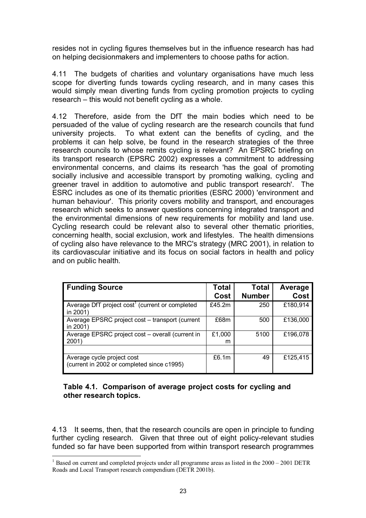resides not in cycling figures themselves but in the influence research has had on helping decisionmakers and implementers to choose paths for action.

4.11 The budgets of charities and voluntary organisations have much less scope for diverting funds towards cycling research, and in many cases this would simply mean diverting funds from cycling promotion projects to cycling  $r$ esearch  $-$  this would not benefit cycling as a whole.

4.12 Therefore, aside from the DfT the main bodies which need to be persuaded of the value of cycling research are the research councils that fund university projects. To what extent can the benefits of cycling, and the problems it can help solve, be found in the research strategies of the three research councils to whose remits cycling is relevant? An EPSRC briefing on its transport research (EPSRC 2002) expresses a commitment to addressing environmental concerns, and claims its research 'has the goal of promoting socially inclusive and accessible transport by promoting walking, cycling and greener travel in addition to automotive and public transport research'. The ESRC includes as one of its thematic priorities (ESRC 2000) 'environment and human behaviour'. This priority covers mobility and transport, and encourages research which seeks to answer questions concerning integrated transport and the environmental dimensions of new requirements for mobility and land use. Cycling research could be relevant also to several other thematic priorities, concerning health, social exclusion, work and lifestyles. The health dimensions of cycling also have relevance to the MRC's strategy (MRC 2001), in relation to its cardiovascular initiative and its focus on social factors in health and policy and on public health.

| <b>Funding Source</b>                                                    | <b>Total</b><br>Cost | Total<br><b>Number</b> | Average<br>Cost |
|--------------------------------------------------------------------------|----------------------|------------------------|-----------------|
| Average DfT project $cost1$ (current or completed<br>in 2001)            | £45.2m               | 250                    | £180,914        |
| Average EPSRC project cost - transport (current<br>in 2001)              | £68m                 | 500                    | £136,000        |
| Average EPSRC project cost - overall (current in<br>2001)                | £1,000<br>m          | 5100                   | £196,078        |
|                                                                          |                      |                        |                 |
| Average cycle project cost<br>(current in 2002 or completed since c1995) | £6.1m                | 49                     | £125,415        |

#### **Table 4.1. Comparison of average project costs for cycling and other research topics.**

4.13 It seems, then, that the research councils are open in principle to funding further cycling research. Given that three out of eight policy-relevant studies funded so far have been supported from within transport research programmes

 $\overline{a}$ <sup>1</sup> Based on current and completed projects under all programme areas as listed in the  $2000 - 2001$  DETR Roads and Local Transport research compendium (DETR 2001b).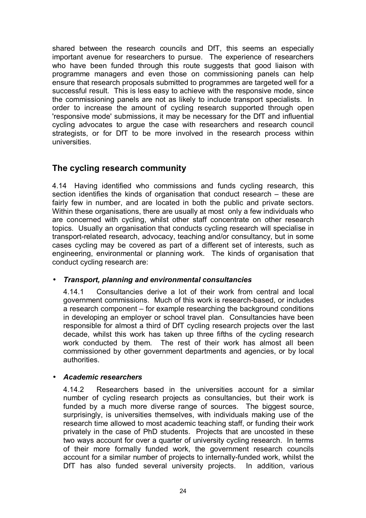shared between the research councils and DfT, this seems an especially important avenue for researchers to pursue. The experience of researchers who have been funded through this route suggests that good liaison with programme managers and even those on commissioning panels can help ensure that research proposals submitted to programmes are targeted well for a successful result. This is less easy to achieve with the responsive mode, since the commissioning panels are not as likely to include transport specialists. In order to increase the amount of cycling research supported through open 'responsive mode' submissions, it may be necessary for the DfT and influential cycling advocates to argue the case with researchers and research council strategists, or for DfT to be more involved in the research process within universities.

### **The cycling research community**

4.14 Having identified who commissions and funds cycling research, this section identifies the kinds of organisation that conduct research  $-$  these are fairly few in number, and are located in both the public and private sectors. Within these organisations, there are usually at most only a few individuals who are concerned with cycling, whilst other staff concentrate on other research topics. Usually an organisation that conducts cycling research will specialise in transport-related research, advocacy, teaching and/or consultancy, but in some cases cycling may be covered as part of a different set of interests, such as engineering, environmental or planning work. The kinds of organisation that conduct cycling research are:

#### • *Transport, planning and environmental consultancies*

4.14.1 Consultancies derive a lot of their work from central and local government commissions. Much of this work is research-based, or includes a research component – for example researching the background conditions in developing an employer or school travel plan. Consultancies have been responsible for almost a third of DfT cycling research projects over the last decade, whilst this work has taken up three fifths of the cycling research work conducted by them. The rest of their work has almost all been commissioned by other government departments and agencies, or by local authorities.

#### • *Academic researchers*

4.14.2 Researchers based in the universities account for a similar number of cycling research projects as consultancies, but their work is funded by a much more diverse range of sources. The biggest source, surprisingly, is universities themselves, with individuals making use of the research time allowed to most academic teaching staff, or funding their work privately in the case of PhD students. Projects that are uncosted in these two ways account for over a quarter of university cycling research. In terms of their more formally funded work, the government research councils account for a similar number of projects to internally-funded work, whilst the DfT has also funded several university projects. In addition, various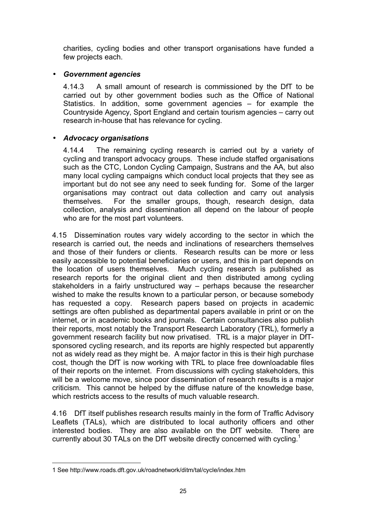charities, cycling bodies and other transport organisations have funded a few projects each.

#### • *Government agencies*

4.14.3 A small amount of research is commissioned by the DfT to be carried out by other government bodies such as the Office of National Statistics. In addition, some government agencies  $-$  for example the Countryside Agency, Sport England and certain tourism agencies – carry out research in-house that has relevance for cycling.

#### • *Advocacy organisations*

4.14.4 The remaining cycling research is carried out by a variety of cycling and transport advocacy groups. These include staffed organisations such as the CTC, London Cycling Campaign, Sustrans and the AA, but also many local cycling campaigns which conduct local projects that they see as important but do not see any need to seek funding for. Some of the larger organisations may contract out data collection and carry out analysis themselves. For the smaller groups, though, research design, data collection, analysis and dissemination all depend on the labour of people who are for the most part volunteers.

4.15 Dissemination routes vary widely according to the sector in which the research is carried out, the needs and inclinations of researchers themselves and those of their funders or clients. Research results can be more or less easily accessible to potential beneficiaries or users, and this in part depends on the location of users themselves. Much cycling research is published as research reports for the original client and then distributed among cycling stakeholders in a fairly unstructured way  $-$  perhaps because the researcher wished to make the results known to a particular person, or because somebody has requested a copy. Research papers based on projects in academic settings are often published as departmental papers available in print or on the internet, or in academic books and journals. Certain consultancies also publish their reports, most notably the Transport Research Laboratory (TRL), formerly a government research facility but now privatised. TRL is a major player in DfTsponsored cycling research, and its reports are highly respected but apparently not as widely read as they might be. A major factor in this is their high purchase cost, though the DfT is now working with TRL to place free downloadable files of their reports on the internet. From discussions with cycling stakeholders, this will be a welcome move, since poor dissemination of research results is a major criticism. This cannot be helped by the diffuse nature of the knowledge base, which restricts access to the results of much valuable research.

4.16 DfT itself publishes research results mainly in the form of Traffic Advisory Leaflets (TALs), which are distributed to local authority officers and other interested bodies. They are also available on the DfT website. There are currently about 30 TALs on the DfT website directly concerned with cycling.<sup>1</sup>

 $\overline{a}$ 1 See http://www.roads.dft.gov.uk/roadnetwork/ditm/tal/cycle/index.htm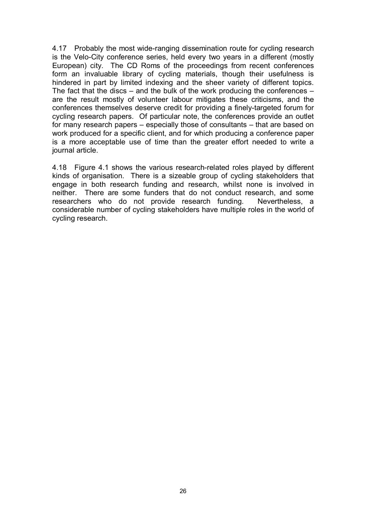4.17 Probably the most wide-ranging dissemination route for cycling research is the Velo-City conference series, held every two years in a different (mostly European) city. The CD Roms of the proceedings from recent conferences form an invaluable library of cycling materials, though their usefulness is hindered in part by limited indexing and the sheer variety of different topics. The fact that the discs  $-$  and the bulk of the work producing the conferences  $$ are the result mostly of volunteer labour mitigates these criticisms, and the conferences themselves deserve credit for providing a finely-targeted forum for cycling research papers. Of particular note, the conferences provide an outlet for many research papers  $-$  especially those of consultants  $-$  that are based on work produced for a specific client, and for which producing a conference paper is a more acceptable use of time than the greater effort needed to write a journal article.

4.18 Figure 4.1 shows the various research-related roles played by different kinds of organisation. There is a sizeable group of cycling stakeholders that engage in both research funding and research, whilst none is involved in neither. There are some funders that do not conduct research, and some researchers who do not provide research funding. Nevertheless, a considerable number of cycling stakeholders have multiple roles in the world of cycling research.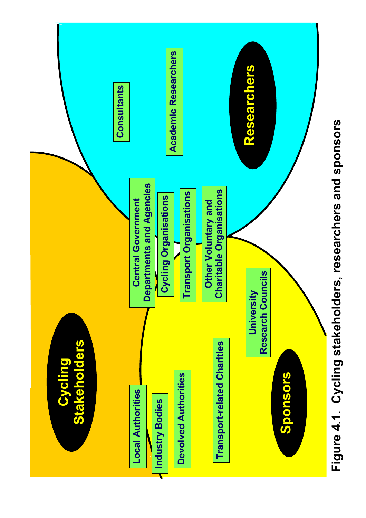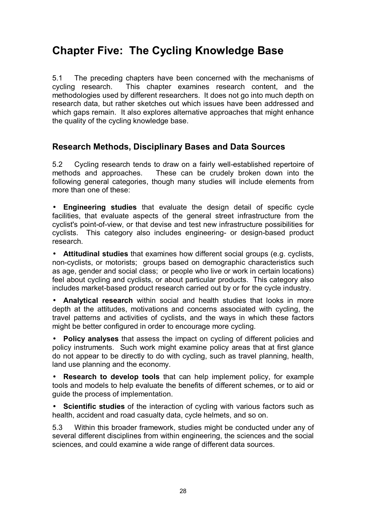# **Chapter Five: The Cycling Knowledge Base**

5.1 The preceding chapters have been concerned with the mechanisms of cycling research. This chapter examines research content, and the methodologies used by different researchers. It does not go into much depth on research data, but rather sketches out which issues have been addressed and which gaps remain. It also explores alternative approaches that might enhance the quality of the cycling knowledge base.

### **Research Methods, Disciplinary Bases and Data Sources**

5.2 Cycling research tends to draw on a fairly well-established repertoire of methods and approaches. These can be crudely broken down into the following general categories, though many studies will include elements from more than one of these:

• **Engineering studies** that evaluate the design detail of specific cycle facilities, that evaluate aspects of the general street infrastructure from the cyclist's point-of-view, or that devise and test new infrastructure possibilities for cyclists. This category also includes engineering- or design-based product research.

• **Attitudinal studies** that examines how different social groups (e.g. cyclists, non-cyclists, or motorists; groups based on demographic characteristics such as age, gender and social class; or people who live or work in certain locations) feel about cycling and cyclists, or about particular products. This category also includes market-based product research carried out by or for the cycle industry.

• **Analytical research** within social and health studies that looks in more depth at the attitudes, motivations and concerns associated with cycling, the travel patterns and activities of cyclists, and the ways in which these factors might be better configured in order to encourage more cycling.

• **Policy analyses** that assess the impact on cycling of different policies and policy instruments. Such work might examine policy areas that at first glance do not appear to be directly to do with cycling, such as travel planning, health, land use planning and the economy.

**Research to develop tools** that can help implement policy, for example tools and models to help evaluate the benefits of different schemes, or to aid or guide the process of implementation.

• **Scientific studies** of the interaction of cycling with various factors such as health, accident and road casualty data, cycle helmets, and so on.

5.3 Within this broader framework, studies might be conducted under any of several different disciplines from within engineering, the sciences and the social sciences, and could examine a wide range of different data sources.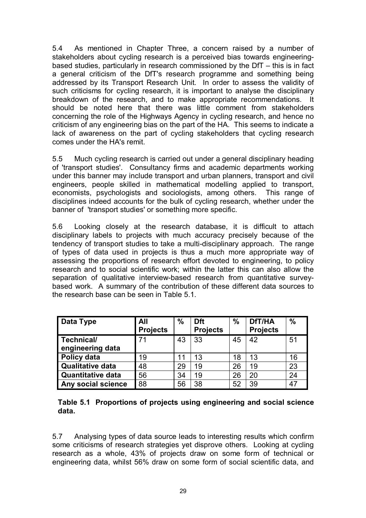5.4 As mentioned in Chapter Three, a concern raised by a number of stakeholders about cycling research is a perceived bias towards engineeringbased studies, particularly in research commissioned by the  $\text{Df}$  – this is in fact a general criticism of the DfT's research programme and something being addressed by its Transport Research Unit. In order to assess the validity of such criticisms for cycling research, it is important to analyse the disciplinary breakdown of the research, and to make appropriate recommendations. It should be noted here that there was little comment from stakeholders concerning the role of the Highways Agency in cycling research, and hence no criticism of any engineering bias on the part of the HA. This seems to indicate a lack of awareness on the part of cycling stakeholders that cycling research comes under the HA's remit.

5.5 Much cycling research is carried out under a general disciplinary heading of 'transport studies'. Consultancy firms and academic departments working under this banner may include transport and urban planners, transport and civil engineers, people skilled in mathematical modelling applied to transport, economists, psychologists and sociologists, among others. This range of disciplines indeed accounts for the bulk of cycling research, whether under the banner of 'transport studies' or something more specific.

5.6 Looking closely at the research database, it is difficult to attach disciplinary labels to projects with much accuracy precisely because of the tendency of transport studies to take a multi-disciplinary approach. The range of types of data used in projects is thus a much more appropriate way of assessing the proportions of research effort devoted to engineering, to policy research and to social scientific work; within the latter this can also allow the separation of qualitative interview-based research from quantitative surveybased work. A summary of the contribution of these different data sources to the research base can be seen in Table 5.1.

| Data Type                | All<br><b>Projects</b> | $\frac{0}{0}$ | <b>Dft</b><br><b>Projects</b> | $\frac{0}{0}$ | DfT/HA<br><b>Projects</b> | $\frac{0}{0}$ |
|--------------------------|------------------------|---------------|-------------------------------|---------------|---------------------------|---------------|
| Technical/               |                        | 43            | 33                            | 45            | 42                        | 51            |
| engineering data         |                        |               |                               |               |                           |               |
| Policy data              | 19                     |               | 13                            | 18            | 13                        | 16            |
| <b>Qualitative data</b>  | 48                     | 29            | 19                            | 26            | 19                        | 23            |
| <b>Quantitative data</b> | 56                     | 34            | 19                            | 26            | 20                        | 24            |
| Any social science       | 88                     | 56            | 38                            | 52            | 39                        | 47            |

**Table 5.1 Proportions of projects using engineering and social science data.** 

5.7 Analysing types of data source leads to interesting results which confirm some criticisms of research strategies yet disprove others. Looking at cycling research as a whole, 43% of projects draw on some form of technical or engineering data, whilst 56% draw on some form of social scientific data, and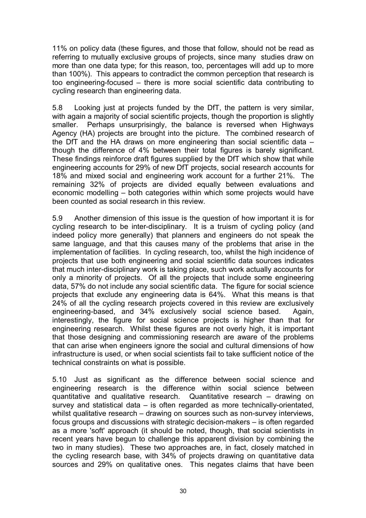11% on policy data (these figures, and those that follow, should not be read as referring to mutually exclusive groups of projects, since many studies draw on more than one data type; for this reason, too, percentages will add up to more than 100%). This appears to contradict the common perception that research is too engineering-focused  $-$  there is more social scientific data contributing to cycling research than engineering data.

5.8 Looking just at projects funded by the DfT, the pattern is very similar, with again a majority of social scientific projects, though the proportion is slightly smaller. Perhaps unsurprisingly, the balance is reversed when Highways Agency (HA) projects are brought into the picture. The combined research of the DfT and the HA draws on more engineering than social scientific data  $$ though the difference of 4% between their total figures is barely significant. These findings reinforce draft figures supplied by the DfT which show that while engineering accounts for 29% of new DfT projects, social research accounts for 18% and mixed social and engineering work account for a further 21%. The remaining 32% of projects are divided equally between evaluations and economic modelling – both categories within which some projects would have been counted as social research in this review.

5.9 Another dimension of this issue is the question of how important it is for cycling research to be inter-disciplinary. It is a truism of cycling policy (and indeed policy more generally) that planners and engineers do not speak the same language, and that this causes many of the problems that arise in the implementation of facilities. In cycling research, too, whilst the high incidence of projects that use both engineering and social scientific data sources indicates that much inter-disciplinary work is taking place, such work actually accounts for only a minority of projects. Of all the projects that include some engineering data, 57% do not include any social scientific data. The figure for social science projects that exclude any engineering data is 64%. What this means is that 24% of all the cycling research projects covered in this review are exclusively engineering-based, and 34% exclusively social science based. Again, interestingly, the figure for social science projects is higher than that for engineering research. Whilst these figures are not overly high, it is important that those designing and commissioning research are aware of the problems that can arise when engineers ignore the social and cultural dimensions of how infrastructure is used, or when social scientists fail to take sufficient notice of the technical constraints on what is possible.

5.10 Just as significant as the difference between social science and engineering research is the difference within social science between quantitative and qualitative research. Quantitative research  $-$  drawing on survey and statistical data  $-$  is often regarded as more technically-orientated, whilst qualitative research  $-$  drawing on sources such as non-survey interviews, focus groups and discussions with strategic decision-makers  $-$  is often regarded as a more 'soft' approach (it should be noted, though, that social scientists in recent years have begun to challenge this apparent division by combining the two in many studies). These two approaches are, in fact, closely matched in the cycling research base, with 34% of projects drawing on quantitative data sources and 29% on qualitative ones. This negates claims that have been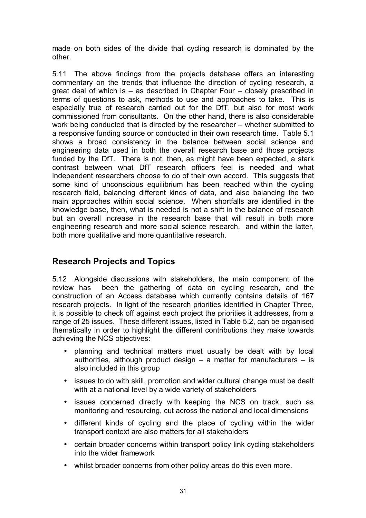made on both sides of the divide that cycling research is dominated by the other.

5.11 The above findings from the projects database offers an interesting commentary on the trends that influence the direction of cycling research, a great deal of which is  $-$  as described in Chapter Four  $-$  closely prescribed in terms of questions to ask, methods to use and approaches to take. This is especially true of research carried out for the DfT, but also for most work commissioned from consultants. On the other hand, there is also considerable work being conducted that is directed by the researcher – whether submitted to a responsive funding source or conducted in their own research time. Table 5.1 shows a broad consistency in the balance between social science and engineering data used in both the overall research base and those projects funded by the DfT. There is not, then, as might have been expected, a stark contrast between what DfT research officers feel is needed and what independent researchers choose to do of their own accord. This suggests that some kind of unconscious equilibrium has been reached within the cycling research field, balancing different kinds of data, and also balancing the two main approaches within social science. When shortfalls are identified in the knowledge base, then, what is needed is not a shift in the balance of research but an overall increase in the research base that will result in both more engineering research and more social science research, and within the latter, both more qualitative and more quantitative research.

### **Research Projects and Topics**

5.12 Alongside discussions with stakeholders, the main component of the review has been the gathering of data on cycling research, and the construction of an Access database which currently contains details of 167 research projects. In light of the research priorities identified in Chapter Three, it is possible to check off against each project the priorities it addresses, from a range of 25 issues. These different issues, listed in Table 5.2, can be organised thematically in order to highlight the different contributions they make towards achieving the NCS objectives:

- planning and technical matters must usually be dealt with by local authorities, although product design  $-$  a matter for manufacturers  $-$  is also included in this group
- issues to do with skill, promotion and wider cultural change must be dealt with at a national level by a wide variety of stakeholders
- issues concerned directly with keeping the NCS on track, such as monitoring and resourcing, cut across the national and local dimensions
- different kinds of cycling and the place of cycling within the wider transport context are also matters for all stakeholders
- certain broader concerns within transport policy link cycling stakeholders into the wider framework
- whilst broader concerns from other policy areas do this even more.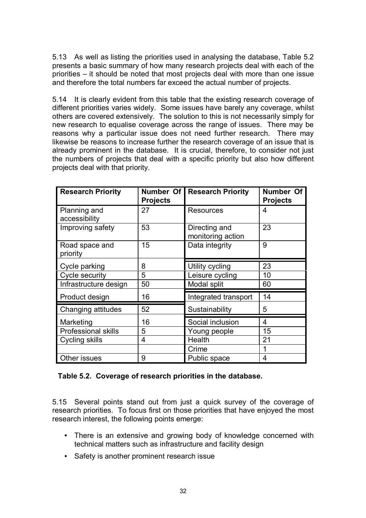5.13 As well as listing the priorities used in analysing the database, Table 5.2 presents a basic summary of how many research projects deal with each of the priorities – it should be noted that most projects deal with more than one issue and therefore the total numbers far exceed the actual number of projects.

5.14 It is clearly evident from this table that the existing research coverage of different priorities varies widely. Some issues have barely any coverage, whilst others are covered extensively. The solution to this is not necessarily simply for new research to equalise coverage across the range of issues. There may be reasons why a particular issue does not need further research. There may likewise be reasons to increase further the research coverage of an issue that is already prominent in the database. It is crucial, therefore, to consider not just the numbers of projects that deal with a specific priority but also how different projects deal with that priority.

| <b>Research Priority</b>      | Number Of<br><b>Projects</b> | <b>Research Priority</b>           | <b>Number Of</b><br><b>Projects</b> |
|-------------------------------|------------------------------|------------------------------------|-------------------------------------|
| Planning and<br>accessibility | 27                           | <b>Resources</b>                   | 4                                   |
| Improving safety              | 53                           | Directing and<br>monitoring action | 23                                  |
| Road space and<br>priority    | 15                           | Data integrity                     | 9                                   |
| Cycle parking                 | 8                            | Utility cycling                    | 23                                  |
| <b>Cycle security</b>         | 5                            | Leisure cycling                    | 10                                  |
| Infrastructure design         | 50                           | Modal split                        | 60                                  |
| Product design                | 16                           | Integrated transport               | 14                                  |
| Changing attitudes            | 52                           | Sustainability                     | 5                                   |
| Marketing                     | 16                           | Social inclusion                   | 4                                   |
| <b>Professional skills</b>    | 5                            | Young people                       | 15                                  |
| Cycling skills                | 4                            | Health                             | 21                                  |
|                               |                              | Crime                              | 1                                   |
| Other issues                  | 9                            | Public space                       | 4                                   |

#### **Table 5.2. Coverage of research priorities in the database.**

5.15 Several points stand out from just a quick survey of the coverage of research priorities. To focus first on those priorities that have enjoyed the most research interest, the following points emerge:

- There is an extensive and growing body of knowledge concerned with technical matters such as infrastructure and facility design
- Safety is another prominent research issue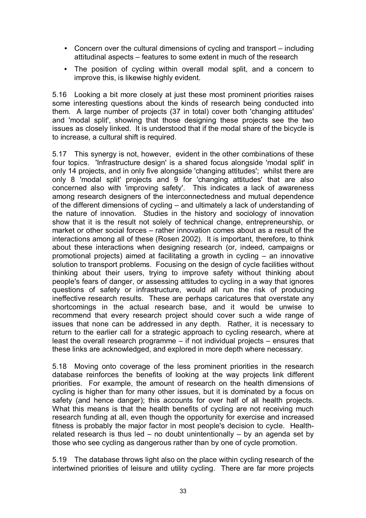- Concern over the cultural dimensions of cycling and transport  $-$  including attitudinal aspects – features to some extent in much of the research
- The position of cycling within overall modal split, and a concern to improve this, is likewise highly evident.

5.16 Looking a bit more closely at just these most prominent priorities raises some interesting questions about the kinds of research being conducted into them. A large number of projects (37 in total) cover both 'changing attitudes' and 'modal split', showing that those designing these projects see the two issues as closely linked. It is understood that if the modal share of the bicycle is to increase, a cultural shift is required.

5.17 This synergy is not, however, evident in the other combinations of these four topics. 'Infrastructure design' is a shared focus alongside 'modal split' in only 14 projects, and in only five alongside 'changing attitudes'; whilst there are only 8 'modal split' projects and 9 for 'changing attitudes' that are also concerned also with 'improving safety'. This indicates a lack of awareness among research designers of the interconnectedness and mutual dependence of the different dimensions of cycling – and ultimately a lack of understanding of the nature of innovation. Studies in the history and sociology of innovation show that it is the result not solely of technical change, entrepreneurship, or market or other social forces  $-$  rather innovation comes about as a result of the interactions among all of these (Rosen 2002). It is important, therefore, to think about these interactions when designing research (or, indeed, campaigns or promotional projects) aimed at facilitating a growth in cycling  $-$  an innovative solution to transport problems. Focusing on the design of cycle facilities without thinking about their users, trying to improve safety without thinking about people's fears of danger, or assessing attitudes to cycling in a way that ignores questions of safety or infrastructure, would all run the risk of producing ineffective research results. These are perhaps caricatures that overstate any shortcomings in the actual research base, and it would be unwise to recommend that every research project should cover such a wide range of issues that none can be addressed in any depth. Rather, it is necessary to return to the earlier call for a strategic approach to cycling research, where at least the overall research programme  $-$  if not individual projects  $-$  ensures that these links are acknowledged, and explored in more depth where necessary.

5.18 Moving onto coverage of the less prominent priorities in the research database reinforces the benefits of looking at the way projects link different priorities. For example, the amount of research on the health dimensions of cycling is higher than for many other issues, but it is dominated by a focus on safety (and hence danger); this accounts for over half of all health projects. What this means is that the health benefits of cycling are not receiving much research funding at all, even though the opportunity for exercise and increased fitness is probably the major factor in most people's decision to cycle. Healthrelated research is thus led  $-$  no doubt unintentionally  $-$  by an agenda set by those who see cycling as dangerous rather than by one of cycle promotion.

5.19 The database throws light also on the place within cycling research of the intertwined priorities of leisure and utility cycling. There are far more projects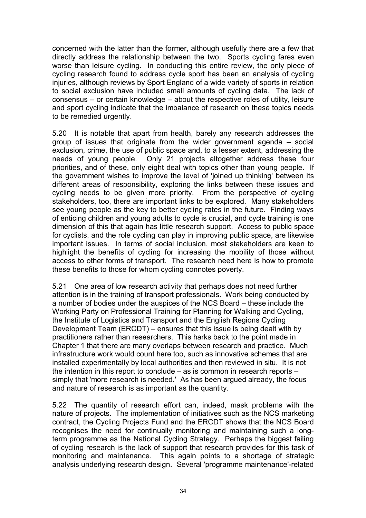concerned with the latter than the former, although usefully there are a few that directly address the relationship between the two. Sports cycling fares even worse than leisure cycling. In conducting this entire review, the only piece of cycling research found to address cycle sport has been an analysis of cycling injuries, although reviews by Sport England of a wide variety of sports in relation to social exclusion have included small amounts of cycling data. The lack of consensus  $-$  or certain knowledge  $-$  about the respective roles of utility, leisure and sport cycling indicate that the imbalance of research on these topics needs to be remedied urgently.

5.20 It is notable that apart from health, barely any research addresses the group of issues that originate from the wider government agenda  $-$  social exclusion, crime, the use of public space and, to a lesser extent, addressing the needs of young people. Only 21 projects altogether address these four priorities, and of these, only eight deal with topics other than young people. If the government wishes to improve the level of 'joined up thinking' between its different areas of responsibility, exploring the links between these issues and cycling needs to be given more priority. From the perspective of cycling stakeholders, too, there are important links to be explored. Many stakeholders see young people as the key to better cycling rates in the future. Finding ways of enticing children and young adults to cycle is crucial, and cycle training is one dimension of this that again has little research support. Access to public space for cyclists, and the role cycling can play in improving public space, are likewise important issues. In terms of social inclusion, most stakeholders are keen to highlight the benefits of cycling for increasing the mobility of those without access to other forms of transport. The research need here is how to promote these benefits to those for whom cycling connotes poverty.

5.21 One area of low research activity that perhaps does not need further attention is in the training of transport professionals. Work being conducted by a number of bodies under the auspices of the NCS Board – these include the Working Party on Professional Training for Planning for Walking and Cycling, the Institute of Logistics and Transport and the English Regions Cycling Development Team (ERCDT)  $-$  ensures that this issue is being dealt with by practitioners rather than researchers. This harks back to the point made in Chapter 1 that there are many overlaps between research and practice. Much infrastructure work would count here too, such as innovative schemes that are installed experimentally by local authorities and then reviewed in situ. It is not the intention in this report to conclude  $-$  as is common in research reports  $$ simply that 'more research is needed.' As has been argued already, the focus and nature of research is as important as the quantity.

5.22 The quantity of research effort can, indeed, mask problems with the nature of projects. The implementation of initiatives such as the NCS marketing contract, the Cycling Projects Fund and the ERCDT shows that the NCS Board recognises the need for continually monitoring and maintaining such a longterm programme as the National Cycling Strategy. Perhaps the biggest failing of cycling research is the lack of support that research provides for this task of monitoring and maintenance. This again points to a shortage of strategic analysis underlying research design. Several 'programme maintenance'-related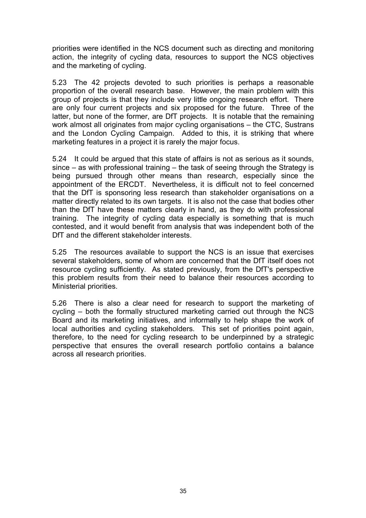priorities were identified in the NCS document such as directing and monitoring action, the integrity of cycling data, resources to support the NCS objectives and the marketing of cycling.

5.23 The 42 projects devoted to such priorities is perhaps a reasonable proportion of the overall research base. However, the main problem with this group of projects is that they include very little ongoing research effort. There are only four current projects and six proposed for the future. Three of the latter, but none of the former, are DfT projects. It is notable that the remaining work almost all originates from major cycling organisations – the CTC, Sustrans and the London Cycling Campaign. Added to this, it is striking that where marketing features in a project it is rarely the major focus.

5.24 It could be argued that this state of affairs is not as serious as it sounds, since  $-$  as with professional training  $-$  the task of seeing through the Strategy is being pursued through other means than research, especially since the appointment of the ERCDT. Nevertheless, it is difficult not to feel concerned that the DfT is sponsoring less research than stakeholder organisations on a matter directly related to its own targets. It is also not the case that bodies other than the DfT have these matters clearly in hand, as they do with professional training. The integrity of cycling data especially is something that is much contested, and it would benefit from analysis that was independent both of the DfT and the different stakeholder interests.

5.25 The resources available to support the NCS is an issue that exercises several stakeholders, some of whom are concerned that the DfT itself does not resource cycling sufficiently. As stated previously, from the DfT's perspective this problem results from their need to balance their resources according to Ministerial priorities.

5.26 There is also a clear need for research to support the marketing of cycling  $-$  both the formally structured marketing carried out through the NCS Board and its marketing initiatives, and informally to help shape the work of local authorities and cycling stakeholders. This set of priorities point again, therefore, to the need for cycling research to be underpinned by a strategic perspective that ensures the overall research portfolio contains a balance across all research priorities.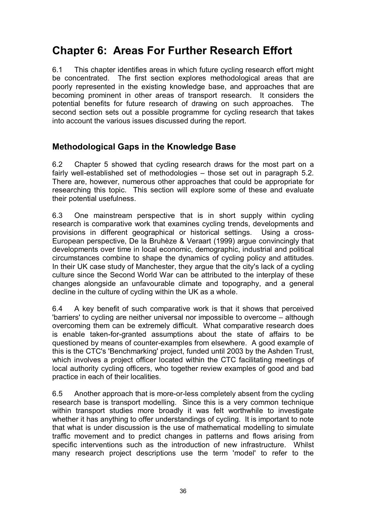# **Chapter 6: Areas For Further Research Effort**

6.1 This chapter identifies areas in which future cycling research effort might be concentrated. The first section explores methodological areas that are poorly represented in the existing knowledge base, and approaches that are becoming prominent in other areas of transport research. It considers the potential benefits for future research of drawing on such approaches. The second section sets out a possible programme for cycling research that takes into account the various issues discussed during the report.

### **Methodological Gaps in the Knowledge Base**

6.2 Chapter 5 showed that cycling research draws for the most part on a fairly well-established set of methodologies  $-$  those set out in paragraph 5.2. There are, however, numerous other approaches that could be appropriate for researching this topic. This section will explore some of these and evaluate their potential usefulness.

6.3 One mainstream perspective that is in short supply within cycling research is comparative work that examines cycling trends, developments and provisions in different geographical or historical settings. Using a cross-European perspective, De la Bruhèze & Veraart (1999) argue convincingly that developments over time in local economic, demographic, industrial and political circumstances combine to shape the dynamics of cycling policy and attitudes. In their UK case study of Manchester, they argue that the city's lack of a cycling culture since the Second World War can be attributed to the interplay of these changes alongside an unfavourable climate and topography, and a general decline in the culture of cycling within the UK as a whole.

6.4 A key benefit of such comparative work is that it shows that perceived 'barriers' to cycling are neither universal nor impossible to overcome – although overcoming them can be extremely difficult. What comparative research does is enable taken-for-granted assumptions about the state of affairs to be questioned by means of counter-examples from elsewhere. A good example of this is the CTC's 'Benchmarking' project, funded until 2003 by the Ashden Trust, which involves a project officer located within the CTC facilitating meetings of local authority cycling officers, who together review examples of good and bad practice in each of their localities.

6.5 Another approach that is more-or-less completely absent from the cycling research base is transport modelling. Since this is a very common technique within transport studies more broadly it was felt worthwhile to investigate whether it has anything to offer understandings of cycling. It is important to note that what is under discussion is the use of mathematical modelling to simulate traffic movement and to predict changes in patterns and flows arising from specific interventions such as the introduction of new infrastructure. Whilst many research project descriptions use the term 'model' to refer to the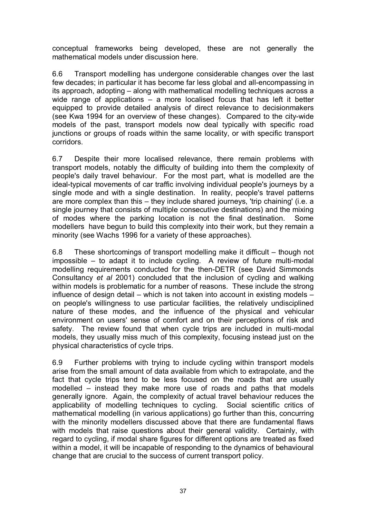conceptual frameworks being developed, these are not generally the mathematical models under discussion here.

6.6 Transport modelling has undergone considerable changes over the last few decades; in particular it has become far less global and all-encompassing in its approach, adopting – along with mathematical modelling techniques across a wide range of applications  $-$  a more localised focus that has left it better equipped to provide detailed analysis of direct relevance to decisionmakers (see Kwa 1994 for an overview of these changes). Compared to the city-wide models of the past, transport models now deal typically with specific road junctions or groups of roads within the same locality, or with specific transport corridors.

6.7 Despite their more localised relevance, there remain problems with transport models, notably the difficulty of building into them the complexity of people's daily travel behaviour. For the most part, what is modelled are the ideal-typical movements of car traffic involving individual people's journeys by a single mode and with a single destination. In reality, people's travel patterns are more complex than this  $-$  they include shared journeys, 'trip chaining' (i.e. a single journey that consists of multiple consecutive destinations) and the mixing of modes where the parking location is not the final destination. Some modellers have begun to build this complexity into their work, but they remain a minority (see Wachs 1996 for a variety of these approaches).

6.8 These shortcomings of transport modelling make it difficult  $-$  though not impossible  $-$  to adapt it to include cycling. A review of future multi-modal modelling requirements conducted for the then-DETR (see David Simmonds Consultancy *et al* 2001) concluded that the inclusion of cycling and walking within models is problematic for a number of reasons. These include the strong influence of design detail  $-$  which is not taken into account in existing models  $$ on people's willingness to use particular facilities, the relatively undisciplined nature of these modes, and the influence of the physical and vehicular environment on users' sense of comfort and on their perceptions of risk and safety. The review found that when cycle trips are included in multi-modal models, they usually miss much of this complexity, focusing instead just on the physical characteristics of cycle trips.

6.9 Further problems with trying to include cycling within transport models arise from the small amount of data available from which to extrapolate, and the fact that cycle trips tend to be less focused on the roads that are usually modelled – instead they make more use of roads and paths that models generally ignore. Again, the complexity of actual travel behaviour reduces the applicability of modelling techniques to cycling. Social scientific critics of mathematical modelling (in various applications) go further than this, concurring with the minority modellers discussed above that there are fundamental flaws with models that raise questions about their general validity. Certainly, with regard to cycling, if modal share figures for different options are treated as fixed within a model, it will be incapable of responding to the dynamics of behavioural change that are crucial to the success of current transport policy.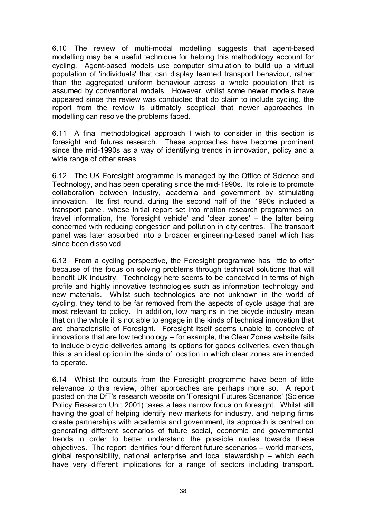6.10 The review of multi-modal modelling suggests that agent-based modelling may be a useful technique for helping this methodology account for cycling. Agent-based models use computer simulation to build up a virtual population of 'individuals' that can display learned transport behaviour, rather than the aggregated uniform behaviour across a whole population that is assumed by conventional models. However, whilst some newer models have appeared since the review was conducted that do claim to include cycling, the report from the review is ultimately sceptical that newer approaches in modelling can resolve the problems faced.

6.11 A final methodological approach I wish to consider in this section is foresight and futures research. These approaches have become prominent since the mid-1990s as a way of identifying trends in innovation, policy and a wide range of other areas.

6.12 The UK Foresight programme is managed by the Office of Science and Technology, and has been operating since the mid-1990s. Its role is to promote collaboration between industry, academia and government by stimulating innovation. Its first round, during the second half of the 1990s included a transport panel, whose initial report set into motion research programmes on travel information, the 'foresight vehicle' and 'clear zones'  $-$  the latter being concerned with reducing congestion and pollution in city centres. The transport panel was later absorbed into a broader engineering-based panel which has since been dissolved.

6.13 From a cycling perspective, the Foresight programme has little to offer because of the focus on solving problems through technical solutions that will benefit UK industry. Technology here seems to be conceived in terms of high profile and highly innovative technologies such as information technology and new materials. Whilst such technologies are not unknown in the world of cycling, they tend to be far removed from the aspects of cycle usage that are most relevant to policy. In addition, low margins in the bicycle industry mean that on the whole it is not able to engage in the kinds of technical innovation that are characteristic of Foresight. Foresight itself seems unable to conceive of innovations that are low technology  $-$  for example, the Clear Zones website fails to include bicycle deliveries among its options for goods deliveries, even though this is an ideal option in the kinds of location in which clear zones are intended to operate.

6.14 Whilst the outputs from the Foresight programme have been of little relevance to this review, other approaches are perhaps more so. A report posted on the DfT's research website on 'Foresight Futures Scenarios' (Science Policy Research Unit 2001) takes a less narrow focus on foresight. Whilst still having the goal of helping identify new markets for industry, and helping firms create partnerships with academia and government, its approach is centred on generating different scenarios of future social, economic and governmental trends in order to better understand the possible routes towards these  $objectives.$  The report identifies four different future scenarios  $-$  world markets, global responsibility, national enterprise and local stewardship – which each have very different implications for a range of sectors including transport.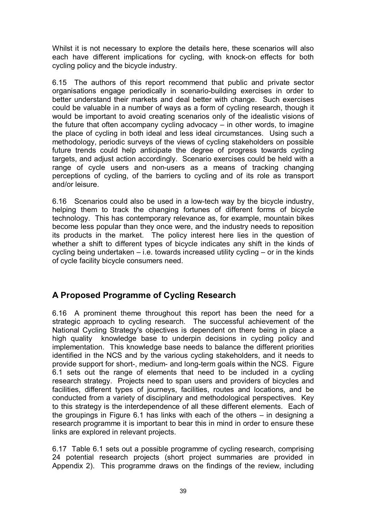Whilst it is not necessary to explore the details here, these scenarios will also each have different implications for cycling, with knock-on effects for both cycling policy and the bicycle industry.

6.15 The authors of this report recommend that public and private sector organisations engage periodically in scenario-building exercises in order to better understand their markets and deal better with change. Such exercises could be valuable in a number of ways as a form of cycling research, though it would be important to avoid creating scenarios only of the idealistic visions of the future that often accompany cycling advocacy  $-$  in other words, to imagine the place of cycling in both ideal and less ideal circumstances. Using such a methodology, periodic surveys of the views of cycling stakeholders on possible future trends could help anticipate the degree of progress towards cycling targets, and adjust action accordingly. Scenario exercises could be held with a range of cycle users and non-users as a means of tracking changing perceptions of cycling, of the barriers to cycling and of its role as transport and/or leisure.

6.16 Scenarios could also be used in a low-tech way by the bicycle industry, helping them to track the changing fortunes of different forms of bicycle technology. This has contemporary relevance as, for example, mountain bikes become less popular than they once were, and the industry needs to reposition its products in the market. The policy interest here lies in the question of whether a shift to different types of bicycle indicates any shift in the kinds of cycling being undertaken  $-$  i.e. towards increased utility cycling  $-$  or in the kinds of cycle facility bicycle consumers need.

### **A Proposed Programme of Cycling Research**

6.16 A prominent theme throughout this report has been the need for a strategic approach to cycling research. The successful achievement of the National Cycling Strategy's objectives is dependent on there being in place a high quality knowledge base to underpin decisions in cycling policy and implementation. This knowledge base needs to balance the different priorities identified in the NCS and by the various cycling stakeholders, and it needs to provide support for short-, medium- and long-term goals within the NCS. Figure 6.1 sets out the range of elements that need to be included in a cycling research strategy. Projects need to span users and providers of bicycles and facilities, different types of journeys, facilities, routes and locations, and be conducted from a variety of disciplinary and methodological perspectives. Key to this strategy is the interdependence of all these different elements. Each of the groupings in Figure 6.1 has links with each of the others  $-$  in designing a research programme it is important to bear this in mind in order to ensure these links are explored in relevant projects.

6.17 Table 6.1 sets out a possible programme of cycling research, comprising 24 potential research projects (short project summaries are provided in Appendix 2). This programme draws on the findings of the review, including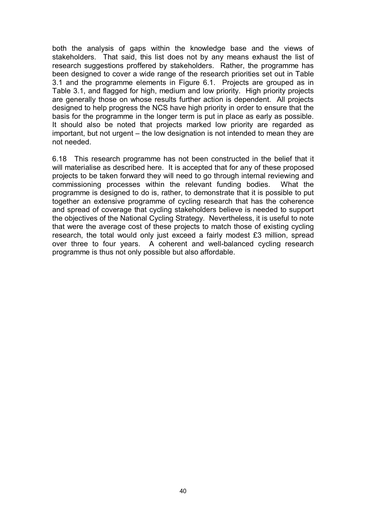both the analysis of gaps within the knowledge base and the views of stakeholders. That said, this list does not by any means exhaust the list of research suggestions proffered by stakeholders. Rather, the programme has been designed to cover a wide range of the research priorities set out in Table 3.1 and the programme elements in Figure 6.1. Projects are grouped as in Table 3.1, and flagged for high, medium and low priority. High priority projects are generally those on whose results further action is dependent. All projects designed to help progress the NCS have high priority in order to ensure that the basis for the programme in the longer term is put in place as early as possible. It should also be noted that projects marked low priority are regarded as  $important$ , but not urgent  $-$  the low designation is not intended to mean they are not needed.

6.18 This research programme has not been constructed in the belief that it will materialise as described here. It is accepted that for any of these proposed projects to be taken forward they will need to go through internal reviewing and commissioning processes within the relevant funding bodies. What the programme is designed to do is, rather, to demonstrate that it is possible to put together an extensive programme of cycling research that has the coherence and spread of coverage that cycling stakeholders believe is needed to support the objectives of the National Cycling Strategy. Nevertheless, it is useful to note that were the average cost of these projects to match those of existing cycling research, the total would only just exceed a fairly modest £3 million, spread over three to four years. A coherent and well-balanced cycling research programme is thus not only possible but also affordable.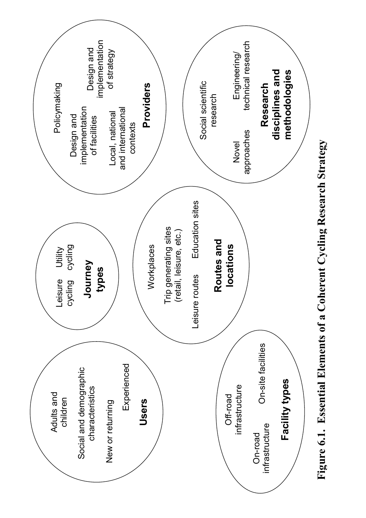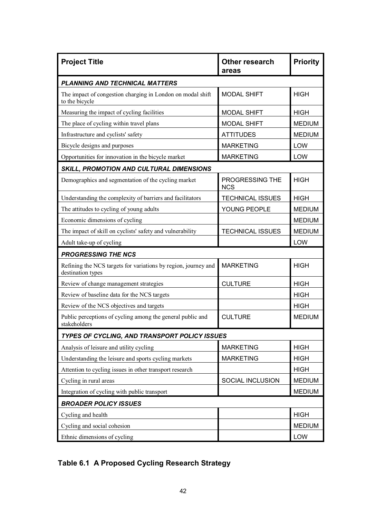| <b>Project Title</b>                                                                | <b>Other research</b><br>areas | <b>Priority</b> |
|-------------------------------------------------------------------------------------|--------------------------------|-----------------|
| <b>PLANNING AND TECHNICAL MATTERS</b>                                               |                                |                 |
| The impact of congestion charging in London on modal shift<br>to the bicycle        | <b>MODAL SHIFT</b>             | <b>HIGH</b>     |
| Measuring the impact of cycling facilities                                          | <b>MODAL SHIFT</b>             | <b>HIGH</b>     |
| The place of cycling within travel plans                                            | <b>MODAL SHIFT</b>             | <b>MEDIUM</b>   |
| Infrastructure and cyclists' safety                                                 | <b>ATTITUDES</b>               | <b>MEDIUM</b>   |
| Bicycle designs and purposes                                                        | <b>MARKETING</b>               | LOW             |
| Opportunities for innovation in the bicycle market                                  | <b>MARKETING</b>               | LOW             |
| <b>SKILL, PROMOTION AND CULTURAL DIMENSIONS</b>                                     |                                |                 |
| Demographics and segmentation of the cycling market                                 | PROGRESSING THE<br><b>NCS</b>  | <b>HIGH</b>     |
| Understanding the complexity of barriers and facilitators                           | <b>TECHNICAL ISSUES</b>        | <b>HIGH</b>     |
| The attitudes to cycling of young adults                                            | YOUNG PEOPLE                   | <b>MEDIUM</b>   |
| Economic dimensions of cycling                                                      |                                | <b>MEDIUM</b>   |
| The impact of skill on cyclists' safety and vulnerability                           | <b>TECHNICAL ISSUES</b>        | <b>MEDIUM</b>   |
| Adult take-up of cycling                                                            |                                | LOW             |
| <b>PROGRESSING THE NCS</b>                                                          |                                |                 |
| Refining the NCS targets for variations by region, journey and<br>destination types | <b>MARKETING</b>               | <b>HIGH</b>     |
| Review of change management strategies                                              | <b>CULTURE</b>                 | <b>HIGH</b>     |
| Review of baseline data for the NCS targets                                         |                                | <b>HIGH</b>     |
| Review of the NCS objectives and targets                                            |                                | <b>HIGH</b>     |
| Public perceptions of cycling among the general public and<br>stakeholders          | <b>CULTURE</b>                 | <b>MEDIUM</b>   |
| TYPES OF CYCLING, AND TRANSPORT POLICY ISSUES                                       |                                |                 |
| Analysis of leisure and utility cycling                                             | <b>MARKETING</b>               | <b>HIGH</b>     |
| Understanding the leisure and sports cycling markets                                | <b>MARKETING</b>               | <b>HIGH</b>     |
| Attention to cycling issues in other transport research                             |                                | <b>HIGH</b>     |
| Cycling in rural areas                                                              | SOCIAL INCLUSION               | <b>MEDIUM</b>   |
| Integration of cycling with public transport                                        |                                | <b>MEDIUM</b>   |
| <b>BROADER POLICY ISSUES</b>                                                        |                                |                 |
| Cycling and health                                                                  |                                | <b>HIGH</b>     |
| Cycling and social cohesion                                                         |                                | <b>MEDIUM</b>   |
| Ethnic dimensions of cycling                                                        |                                | LOW             |

### **Table 6.1 A Proposed Cycling Research Strategy**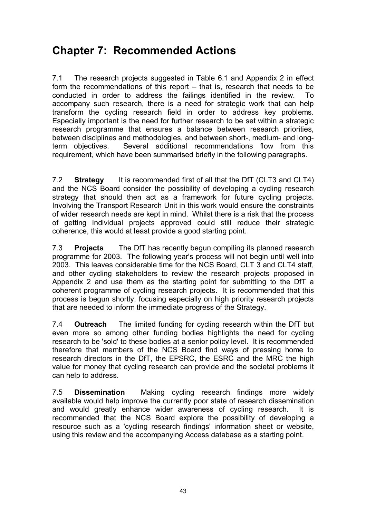# **Chapter 7: Recommended Actions**

7.1 The research projects suggested in Table 6.1 and Appendix 2 in effect form the recommendations of this report  $-$  that is, research that needs to be conducted in order to address the failings identified in the review. To accompany such research, there is a need for strategic work that can help transform the cycling research field in order to address key problems. Especially important is the need for further research to be set within a strategic research programme that ensures a balance between research priorities, between disciplines and methodologies, and between short-, medium- and longterm objectives. Several additional recommendations flow from this requirement, which have been summarised briefly in the following paragraphs.

7.2 **Strategy** It is recommended first of all that the DfT (CLT3 and CLT4) and the NCS Board consider the possibility of developing a cycling research strategy that should then act as a framework for future cycling projects. Involving the Transport Research Unit in this work would ensure the constraints of wider research needs are kept in mind. Whilst there is a risk that the process of getting individual projects approved could still reduce their strategic coherence, this would at least provide a good starting point.

7.3 **Projects** The DfT has recently begun compiling its planned research programme for 2003. The following year's process will not begin until well into 2003. This leaves considerable time for the NCS Board, CLT 3 and CLT4 staff, and other cycling stakeholders to review the research projects proposed in Appendix 2 and use them as the starting point for submitting to the DfT a coherent programme of cycling research projects. It is recommended that this process is begun shortly, focusing especially on high priority research projects that are needed to inform the immediate progress of the Strategy.

7.4 **Outreach** The limited funding for cycling research within the DfT but even more so among other funding bodies highlights the need for cycling research to be 'sold' to these bodies at a senior policy level. It is recommended therefore that members of the NCS Board find ways of pressing home to research directors in the DfT, the EPSRC, the ESRC and the MRC the high value for money that cycling research can provide and the societal problems it can help to address.

7.5 **Dissemination** Making cycling research findings more widely available would help improve the currently poor state of research dissemination and would greatly enhance wider awareness of cycling research. It is recommended that the NCS Board explore the possibility of developing a resource such as a 'cycling research findings' information sheet or website, using this review and the accompanying Access database as a starting point.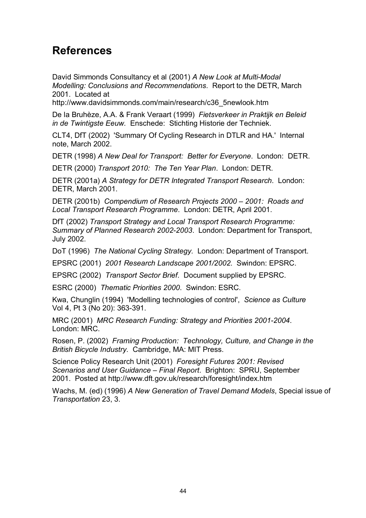### **References**

David Simmonds Consultancy et al (2001) *A New Look at Multi-Modal Modelling: Conclusions and Recommendations*. Report to the DETR, March 2001. Located at

http://www.davidsimmonds.com/main/research/c36\_5newlook.htm

De la Bruhèze, A.A. & Frank Veraart (1999) *Fietsverkeer in Praktijk en Beleid in de Twintigste Eeuw.* Enschede: Stichting Historie der Techniek.

CLT4, DfT (2002) 'Summary Of Cycling Research in DTLR and HA.' Internal note, March 2002.

DETR (1998) *A New Deal for Transport: Better for Everyone*. London: DETR.

DETR (2000) *Transport 2010: The Ten Year Plan*. London: DETR.

DETR (2001a) *A Strategy for DETR Integrated Transport Research*. London: DETR, March 2001.

DETR (2001b) Compendium of Research Projects 2000 – 2001: Roads and *Local Transport Research Programme*. London: DETR, April 2001.

DfT (2002) *Transport Strategy and Local Transport Research Programme: Summary of Planned Research 2002-2003*. London: Department for Transport, July 2002.

DoT (1996) *The National Cycling Strategy.* London: Department of Transport.

EPSRC (2001) *2001 Research Landscape 2001/2002*. Swindon: EPSRC.

EPSRC (2002) *Transport Sector Brief*. Document supplied by EPSRC.

ESRC (2000) *Thematic Priorities 2000*. Swindon: ESRC.

Kwa, Chunglin (1994) 'Modelling technologies of control', *Science as Culture*  Vol 4, Pt 3 (No 20): 363-391.

MRC (2001) *MRC Research Funding: Strategy and Priorities 2001-2004*. London: MRC.

Rosen, P. (2002) *Framing Production: Technology, Culture, and Change in the British Bicycle Industry.* Cambridge, MA: MIT Press.

Science Policy Research Unit (2001) *Foresight Futures 2001: Revised Scenarios and User Guidance – Final Report. Brighton: SPRU, September* 2001. Posted at http://www.dft.gov.uk/research/foresight/index.htm

Wachs, M. (ed) (1996) *A New Generation of Travel Demand Models*, Special issue of *Transportation* 23, 3.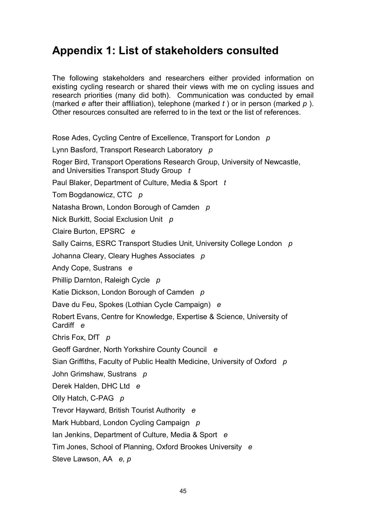# **Appendix 1: List of stakeholders consulted**

The following stakeholders and researchers either provided information on existing cycling research or shared their views with me on cycling issues and research priorities (many did both). Communication was conducted by email (marked *e* after their affiliation), telephone (marked *t* ) or in person (marked *p* ). Other resources consulted are referred to in the text or the list of references.

Rose Ades, Cycling Centre of Excellence, Transport for London *p*  Lynn Basford, Transport Research Laboratory *p*  Roger Bird, Transport Operations Research Group, University of Newcastle, and Universities Transport Study Group *t*  Paul Blaker, Department of Culture, Media & Sport *t*  Tom Bogdanowicz, CTC *p*  Natasha Brown, London Borough of Camden *p*  Nick Burkitt, Social Exclusion Unit *p*  Claire Burton, EPSRC *e*  Sally Cairns, ESRC Transport Studies Unit, University College London *p*  Johanna Cleary, Cleary Hughes Associates *p*  Andy Cope, Sustrans *e*  Phillip Darnton, Raleigh Cycle *p*  Katie Dickson, London Borough of Camden *p*  Dave du Feu, Spokes (Lothian Cycle Campaign) *e*  Robert Evans, Centre for Knowledge, Expertise & Science, University of Cardiff *e*  Chris Fox, DfT *p*  Geoff Gardner, North Yorkshire County Council *e*  Sian Griffiths, Faculty of Public Health Medicine, University of Oxford *p*  John Grimshaw, Sustrans *p*  Derek Halden, DHC Ltd *e*  Olly Hatch, C-PAG *p*  Trevor Hayward, British Tourist Authority *e*  Mark Hubbard, London Cycling Campaign *p*  Ian Jenkins, Department of Culture, Media & Sport *e* 

Tim Jones, School of Planning, Oxford Brookes University *e* 

Steve Lawson, AA *e, p*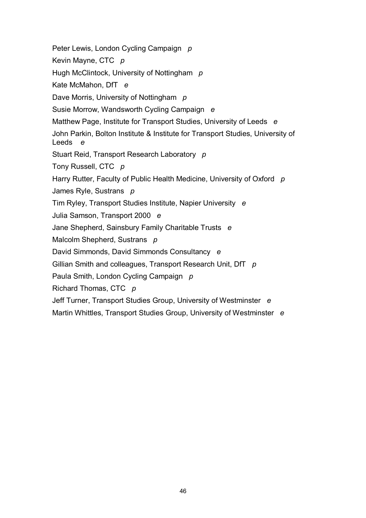Peter Lewis, London Cycling Campaign *p*  Kevin Mayne, CTC *p*  Hugh McClintock, University of Nottingham *p*  Kate McMahon, DfT *e*  Dave Morris, University of Nottingham *p*  Susie Morrow, Wandsworth Cycling Campaign *e* Matthew Page, Institute for Transport Studies, University of Leeds *e*  John Parkin, Bolton Institute & Institute for Transport Studies, University of Leeds *e*  Stuart Reid, Transport Research Laboratory *p*  Tony Russell, CTC *p*  Harry Rutter, Faculty of Public Health Medicine, University of Oxford *p*  James Ryle, Sustrans *p*  Tim Ryley, Transport Studies Institute, Napier University *e*  Julia Samson, Transport 2000 *e*  Jane Shepherd, Sainsbury Family Charitable Trusts *e*  Malcolm Shepherd, Sustrans *p*  David Simmonds, David Simmonds Consultancy *e*  Gillian Smith and colleagues, Transport Research Unit, DfT *p*  Paula Smith, London Cycling Campaign *p*  Richard Thomas, CTC *p*  Jeff Turner, Transport Studies Group, University of Westminster *e*  Martin Whittles, Transport Studies Group, University of Westminster *e*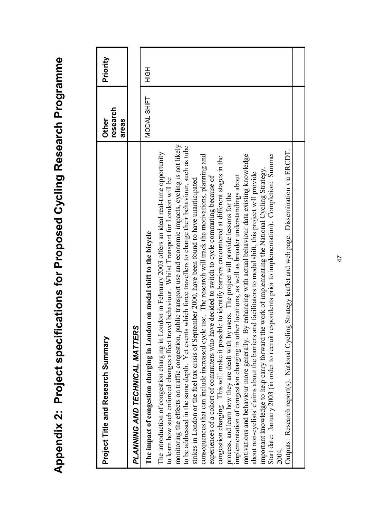| Project Title and Research Summary                                                                                                                                                                                                                                                                                                                                                                                                                                                                                                                                                                                                                                                                                                                                                                                                                                                                                                                                                                                                                                                                                                                                                                                                                                                                                                                                                                                                                                                                                                                                                                                                        | research<br>Other<br>areas | Priority |
|-------------------------------------------------------------------------------------------------------------------------------------------------------------------------------------------------------------------------------------------------------------------------------------------------------------------------------------------------------------------------------------------------------------------------------------------------------------------------------------------------------------------------------------------------------------------------------------------------------------------------------------------------------------------------------------------------------------------------------------------------------------------------------------------------------------------------------------------------------------------------------------------------------------------------------------------------------------------------------------------------------------------------------------------------------------------------------------------------------------------------------------------------------------------------------------------------------------------------------------------------------------------------------------------------------------------------------------------------------------------------------------------------------------------------------------------------------------------------------------------------------------------------------------------------------------------------------------------------------------------------------------------|----------------------------|----------|
| PLANNING AND TECHNICAL MATTERS                                                                                                                                                                                                                                                                                                                                                                                                                                                                                                                                                                                                                                                                                                                                                                                                                                                                                                                                                                                                                                                                                                                                                                                                                                                                                                                                                                                                                                                                                                                                                                                                            |                            |          |
| The impact of congestion charging in London on modal shift to the bicycle                                                                                                                                                                                                                                                                                                                                                                                                                                                                                                                                                                                                                                                                                                                                                                                                                                                                                                                                                                                                                                                                                                                                                                                                                                                                                                                                                                                                                                                                                                                                                                 | MODAL SHIFT                | HOH      |
| monitoring the effects on traffic congestion, public transport use and economic impacts, cycling is not likely<br>to be addressed in the same depth. Yet events which force travellers to change their behaviour, such as tube<br>Outputs: Research report(s). National Cycling Strategy leaflet and web page. Dissemination via ERCDT.<br>The introduction of congestion charging in London in February 2003 offers an ideal real-time opportunity<br>Start date: January 2003 (in order to recruit respondents prior to implementation). Completion: Summer<br>consequences that can include increased cycle use. The research will track the motivations, planning and<br>motivations and behaviour more generally. By enhancing with actual behaviour data existing knowledge<br>congestion charging. This will make it possible to identify barriers encountered at different stages in the<br>important knowledge to help carry forward the work of implementing the National Cycling Strategy.<br>about non-cyclists' claims about the barriers and facilitators to modal shift, this project will provide<br>implementation of congestion charging in other locations, as well as broader understandings about<br>experiences of a cohort of commuters who have decided to switch to cycle commuting because of<br>to learn how such enforced changes affect travel behaviour. Whilst Transport for London will be<br>strikes in London or the fuel tax crisis of September 2000, have been found to have unanticipated<br>process, and learn how they are dealt with by users. The project will provide lessons for the<br>2004. |                            |          |
|                                                                                                                                                                                                                                                                                                                                                                                                                                                                                                                                                                                                                                                                                                                                                                                                                                                                                                                                                                                                                                                                                                                                                                                                                                                                                                                                                                                                                                                                                                                                                                                                                                           |                            |          |

Appendix 2: Project specifications for Proposed Cycling Research Programme **Appendix 2: Project specifications for Proposed Cycling Research Programme**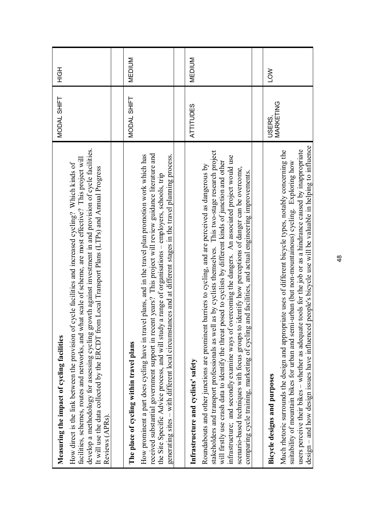| Measuring the impact of cycling facilities                                                                                                                                                                                                                                                                                                                                                                                                                                                                                                                                                                                                                      | MODAL SHIFT         | HOH           |
|-----------------------------------------------------------------------------------------------------------------------------------------------------------------------------------------------------------------------------------------------------------------------------------------------------------------------------------------------------------------------------------------------------------------------------------------------------------------------------------------------------------------------------------------------------------------------------------------------------------------------------------------------------------------|---------------------|---------------|
| develop a methodology for assessing cycling growth against investment in and provision of cycle facilities.<br>facilities, schemes, routes and networks, and what scale of scheme, are most effective? This project will<br>How direct is the link between the provision of cycle facilities and increased cycling? Which kinds of<br>It will use the data collected by the ERCDT from Local Transport Plans (LTPs) and Annual Progress<br>Reviews (APRs).                                                                                                                                                                                                      |                     |               |
|                                                                                                                                                                                                                                                                                                                                                                                                                                                                                                                                                                                                                                                                 |                     |               |
| The place of cycling within travel plans                                                                                                                                                                                                                                                                                                                                                                                                                                                                                                                                                                                                                        | MODAL SHIFT         | <b>MEDIUM</b> |
| received substantial government support in recent years? This project will review guidance literature and<br>generating sites – with different local circumstances and at different stages in the travel planning process.<br>How prominent a part does cycling have in travel plans, and in the travel plan promotion work which has<br>the Site Specific Advice process, and will study a range of organisations – employers, schools, trip                                                                                                                                                                                                                   |                     |               |
|                                                                                                                                                                                                                                                                                                                                                                                                                                                                                                                                                                                                                                                                 |                     |               |
| Infrastructure and cyclists' safety                                                                                                                                                                                                                                                                                                                                                                                                                                                                                                                                                                                                                             | <b>ATTITUDES</b>    | <b>MEDIUM</b> |
| as by cyclists themselves. This two-stage research project<br>infrastructure; and secondly examine ways of overcoming the dangers. An associated project would use<br>will firstly use crash data to identify the threat posed to cyclists by different kinds of junction and other<br>barriers to cycling, and are perceived as dangerous by<br>scenario-based techniques with focus groups to identify how perceptions of danger can be overcome,<br>comparing cycle training, marketing of cycling and facilities, and actual engineering improvements.<br>Roundabouts and other junctions are prominent<br>stakeholders and transport professionals as well |                     |               |
|                                                                                                                                                                                                                                                                                                                                                                                                                                                                                                                                                                                                                                                                 |                     |               |
| <b>Bicycle designs and purposes</b>                                                                                                                                                                                                                                                                                                                                                                                                                                                                                                                                                                                                                             | MARKETING<br>USERS. | <b>NOT</b>    |
| users perceive their bikes – whether as adequate tools for the job or as a hindrance caused by inappropriate<br>Much rhetoric surrounds the design and appropriate uses of different bicycle types, notably concerning the<br>suitability of mountain bikes for urban and semi-urban (but non-mountainous) cycling. Exploring how                                                                                                                                                                                                                                                                                                                               |                     |               |
| design – and how design issues have influenced people's bicycle use will be valuable in helping to influence                                                                                                                                                                                                                                                                                                                                                                                                                                                                                                                                                    |                     |               |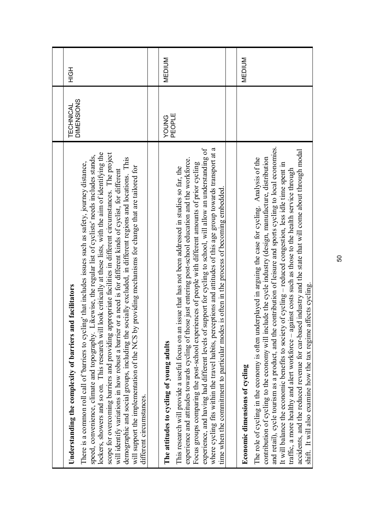| lockers, showers and so on. This research will look critically at these lists, with the aim of identifying the<br>scope for overcoming barriers and providing appropriate facilities in different circumstances. The project<br>speed, convenience, climate and topography. Likewise, the regular list of cyclists' needs includes stands,<br>demographic and social groups, including the socially excluded, in different regions and locations. This<br>There is a common roll call of 'barriers to cycling' that includes issues such as safety, journey distance,<br>providing mechanisms for change that are tailored for<br>will identify variations in how robust a barrier or a need is for different kinds of cyclist, for different<br>Understanding the complexity of barriers and facilitators<br>will support the implementation of the NCS by<br>different circumstances. | DIMENSIONS<br>TECHNICAL | HQH           |
|-----------------------------------------------------------------------------------------------------------------------------------------------------------------------------------------------------------------------------------------------------------------------------------------------------------------------------------------------------------------------------------------------------------------------------------------------------------------------------------------------------------------------------------------------------------------------------------------------------------------------------------------------------------------------------------------------------------------------------------------------------------------------------------------------------------------------------------------------------------------------------------------|-------------------------|---------------|
|                                                                                                                                                                                                                                                                                                                                                                                                                                                                                                                                                                                                                                                                                                                                                                                                                                                                                         |                         |               |
| where cycling fits within the travel habits, perceptions and attitudes of this age group towards transport at a<br>experience, and having had different levels of support for cycling to school, will allow an understanding of<br>experience and attitudes towards cycling of those just entering post-school education and the workforce.<br>Focus groups comparing the post-school experiences of people with different amounts of prior cycling<br>issue that has not been addressed in studies so far, the<br>is often in the process of becoming embedded<br>time when the commitment to particular modes<br>This research will provide a useful focus on an<br>The attitudes to cycling of young adults                                                                                                                                                                          | PEOPLE<br><b>PNOOA</b>  | <b>MEDIUM</b> |
|                                                                                                                                                                                                                                                                                                                                                                                                                                                                                                                                                                                                                                                                                                                                                                                                                                                                                         |                         |               |
| and retail), cycle tourism as a product, and the contribution of leisure and sports cycling to local economies.<br>accidents, and the reduced revenue for car-based industry and the state that will come about through modal<br>The role of cycling in the economy is often underplayed in arguing the case for cycling. Analysis of the<br>contribution of cycling to the economy will include the cycle industry (design, manufacture, distribution<br>It will balance the economic benefits to society of cycling – reduced congestion, less idle time spent in<br>traffic, a more healthy and alert workforce – against costs such as those to the health service through<br>shift. It will also examine how the tax regime affects cycling.<br>Economic dimensions of cycling                                                                                                     |                         | <b>MEDIUM</b> |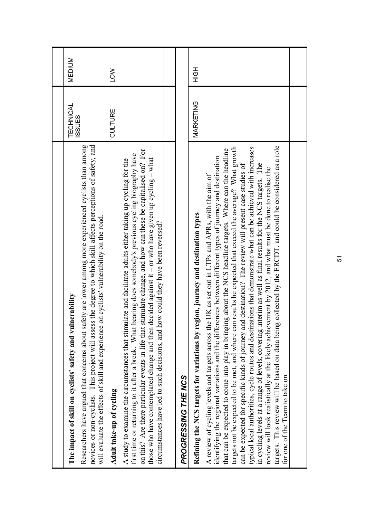| Researchers have argued that concerns about safety are lower among more experienced cyclists than among<br>novices or non-cyclists. This project will assess the degree to which skill affects perceptions of safety, and<br>The impact of skill on cyclists' safety and vulnerability                                                                                                                                                                                                                                                                                                                                                                                                                                                                                                                                                                                                                                                                                                                                                        | <b>TECHNICAL</b><br><b>ISSUES</b> | <b>MEDIUM</b> |
|-----------------------------------------------------------------------------------------------------------------------------------------------------------------------------------------------------------------------------------------------------------------------------------------------------------------------------------------------------------------------------------------------------------------------------------------------------------------------------------------------------------------------------------------------------------------------------------------------------------------------------------------------------------------------------------------------------------------------------------------------------------------------------------------------------------------------------------------------------------------------------------------------------------------------------------------------------------------------------------------------------------------------------------------------|-----------------------------------|---------------|
| on cyclists' vulnerability on the road.<br>will evaluate the effects of skill and experience                                                                                                                                                                                                                                                                                                                                                                                                                                                                                                                                                                                                                                                                                                                                                                                                                                                                                                                                                  |                                   |               |
| Adult take-up of cycling                                                                                                                                                                                                                                                                                                                                                                                                                                                                                                                                                                                                                                                                                                                                                                                                                                                                                                                                                                                                                      | CULTURE                           | <b>NOT</b>    |
| on this? Are there particular events in life that stimulate change, and how can these be capitalised on? For<br>bearing does somebody's previous cycling biography have<br>decided against it – or who have given up cycling – what<br>A study to examine the circumstances that stimulate and facilitate adults either taking up cycling for the<br>circumstances have led to such decisions, and how could they have been reversed?<br>those who have contemplated change and then or<br>first time or returning to it after a break. What I                                                                                                                                                                                                                                                                                                                                                                                                                                                                                                |                                   |               |
|                                                                                                                                                                                                                                                                                                                                                                                                                                                                                                                                                                                                                                                                                                                                                                                                                                                                                                                                                                                                                                               |                                   |               |
| PROGRESSING THE NCS                                                                                                                                                                                                                                                                                                                                                                                                                                                                                                                                                                                                                                                                                                                                                                                                                                                                                                                                                                                                                           |                                   |               |
| Refining the NCS targets for variations by region, journey and destination types                                                                                                                                                                                                                                                                                                                                                                                                                                                                                                                                                                                                                                                                                                                                                                                                                                                                                                                                                              | MARKETING                         | HOH           |
| targets. This review will be based on data being collected by the ERCDT, and could be considered as a role<br>targets not be expected to be met, and where can results be expected that exceed the average? What growth<br>typical local authorities, cycle routes and destinations that demonstrate what can be achieved with increases<br>that can be expected to come into play in bringing about the NCS headline targets. Where can the headline<br>identifying the regional variations and the differences between different types of journey and destination<br>can be expected for specific kinds of journey and destination? The review will present case studies of<br>in cycling levels at a range of levels, covering interim as well as final results for the NCS targets. The<br>review will look realistically at the likely achievement by 2012, and what must be done to realise the<br>A review of cycling levels and targets across the UK as set out in LTPs and APRs, with the aim of<br>for one of the Team to take on. |                                   |               |
|                                                                                                                                                                                                                                                                                                                                                                                                                                                                                                                                                                                                                                                                                                                                                                                                                                                                                                                                                                                                                                               |                                   |               |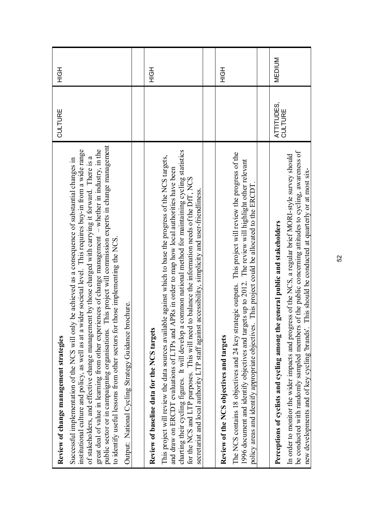| Review of change management strategies                                                                                                                                                                                                                                                                                                                                                                                                                                                                                                                                                                                                                                                                    | <b>CULTURE</b>               | HOH           |
|-----------------------------------------------------------------------------------------------------------------------------------------------------------------------------------------------------------------------------------------------------------------------------------------------------------------------------------------------------------------------------------------------------------------------------------------------------------------------------------------------------------------------------------------------------------------------------------------------------------------------------------------------------------------------------------------------------------|------------------------------|---------------|
| This project will commission experts in change management<br>institutional culture and policy, as well as at a wider societal level. This requires buy-in from a wide range<br>great deal of value in learning from other experiences of change management – whether in industry, in the<br>of stakeholders, and effective change management by those charged with carrying it forward. There is a<br>Successful implementation of the NCS will only be achieved as a consequence of substantial changes in<br>those implementing the NCS.<br>Output: National Cycling Strategy Guidance brochure.<br>to identify useful lessons from other sectors for<br>public sector or in campaigning organisations. |                              |               |
|                                                                                                                                                                                                                                                                                                                                                                                                                                                                                                                                                                                                                                                                                                           |                              |               |
| common national method for maintaining cycling statistics<br>ble against which to base the progress of the NCS targets,<br>and draw on ERCDT evaluations of LTPs and APRs in order to map how local authorities have been<br>to balance the information needs of the DfT, NCS<br>secretariat and local authority LTP staff against accessibility, simplicity and user-friendliness.<br>This project will review the data sources availal<br>for the NCS and LTP purposes. This will need<br>charting their cycling figures. It will develop a<br>Review of baseline data for the NCS targets                                                                                                              |                              | HOH           |
|                                                                                                                                                                                                                                                                                                                                                                                                                                                                                                                                                                                                                                                                                                           |                              |               |
| The NCS contains 18 objectives and 24 key strategic outputs. This project will review the progress of the<br>1996 document and identify objectives and targets up to 2012. The review will highlight other relevant<br>This project could be allocated to the ERCDT<br>policy areas and identify appropriate objectives.<br>Review of the NCS objectives and targets                                                                                                                                                                                                                                                                                                                                      |                              | HOH           |
|                                                                                                                                                                                                                                                                                                                                                                                                                                                                                                                                                                                                                                                                                                           |                              |               |
| be conducted with randomly sampled members of the public concerning attitudes to cycling, awareness of<br>ess of the NCS, a regular brief MORI-style survey should<br>This should be conducted at quarterly or at most six-<br>Perceptions of cyclists and cycling among the general public and stakeholders<br>In order to monitor the wider impacts and progr<br>new developments and of key cycling "brands".                                                                                                                                                                                                                                                                                          | ATTITUDES,<br><b>CULTURE</b> | <b>MEDIUM</b> |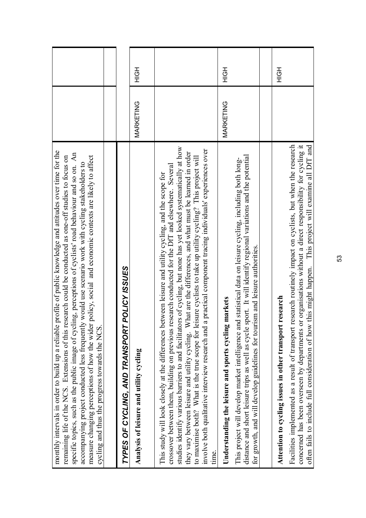| profile of public knowledge and attitudes over time for the<br>ing, perceptions of cyclists' road behaviour and so on. An<br>policy, social and economic contexts are likely to affect<br>remaining life of the NCS. Extensions of this research could be conducted as one-off studies to focus on<br>accompanying project conducted less frequently would use scenario work with cycling stakeholders to<br>measure changing perceptions of how the wider<br>monthly intervals in order to build up a reliable<br>cycling and thus the progress towards the NCS.<br>specific topics, such as the public image of cycl                                                                  |           |     |
|-----------------------------------------------------------------------------------------------------------------------------------------------------------------------------------------------------------------------------------------------------------------------------------------------------------------------------------------------------------------------------------------------------------------------------------------------------------------------------------------------------------------------------------------------------------------------------------------------------------------------------------------------------------------------------------------|-----------|-----|
|                                                                                                                                                                                                                                                                                                                                                                                                                                                                                                                                                                                                                                                                                         |           |     |
| POLICY ISSUES<br>TYPES OF CYCLING, AND TRANSPORT                                                                                                                                                                                                                                                                                                                                                                                                                                                                                                                                                                                                                                        |           |     |
| Analysis of leisure and utility cycling                                                                                                                                                                                                                                                                                                                                                                                                                                                                                                                                                                                                                                                 | MARKETING | HOH |
| studies identify various barriers to and facilitators of cycling, but none has yet looked systematically at how<br>a practical component tracing individuals' experiences over<br>they vary between leisure and utility cycling. What are the differences, and what must be learned in order<br>to maximise both? What is the true scope for leisure cyclists to take up utility cycling? This project will<br>crossover between them, building on previous research conducted for the DfT and elsewhere. Several<br>This study will look closely at the differences between leisure and utility cycling, and the scope for<br>involve both qualitative interview research and<br>time. |           |     |
| distance and short leisure trips as well as cycle sport. It will identify regional variations and the potential<br>d statistical data on leisure cycling, including both long-<br>for growth, and will develop guidelines for tourism and leisure authorities<br>markets<br>Understanding the leisure and sports cycling<br>This project will develop market intelligence an                                                                                                                                                                                                                                                                                                            | MARKETING | エロエ |
|                                                                                                                                                                                                                                                                                                                                                                                                                                                                                                                                                                                                                                                                                         |           |     |
| research<br>Attention to cycling issues in other transport                                                                                                                                                                                                                                                                                                                                                                                                                                                                                                                                                                                                                              |           | HQH |
| research routinely impact on cyclists, but when the research<br>concerned has been overseen by departments or organisations without a direct responsibility for cycling it<br>often fails to include full consideration of how this might happen. This project will examine all DfT and<br>Facilities implemented as a result of transport i                                                                                                                                                                                                                                                                                                                                            |           |     |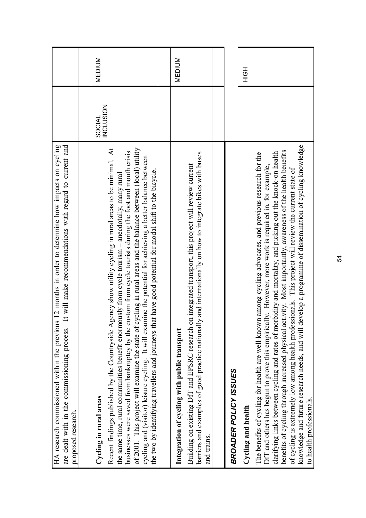| It will make recommendations with regard to current and<br>HA research commissioned within the previous 12 months in order to determine how impacts on cycling<br>are dealt with in the commissioning process.<br>proposed research.                                                                                                                                                                                                                                                                                                                                                                                                                                                         |                                   |               |
|----------------------------------------------------------------------------------------------------------------------------------------------------------------------------------------------------------------------------------------------------------------------------------------------------------------------------------------------------------------------------------------------------------------------------------------------------------------------------------------------------------------------------------------------------------------------------------------------------------------------------------------------------------------------------------------------|-----------------------------------|---------------|
|                                                                                                                                                                                                                                                                                                                                                                                                                                                                                                                                                                                                                                                                                              |                                   |               |
| Cycling in rural areas                                                                                                                                                                                                                                                                                                                                                                                                                                                                                                                                                                                                                                                                       | <b>INCLUSION</b><br><b>SOCIAL</b> | <b>MEDIUM</b> |
| gency show utility cycling in rural areas to be minimal. At<br>the same time, rural communities benefit enormously from cycle tourism – anecdotally, many rural<br>Recent findings published by the Countryside A                                                                                                                                                                                                                                                                                                                                                                                                                                                                            |                                   |               |
| of 2001. This project will examine the state of cycling in rural areas and the balance between (local) utility<br>businesses were saved from bankruptcy by the custom from cycle tourists during the foot and mouth crisis<br>cycling and (visitor) leisure cycling. It will examine the potential for achieving a better balance between<br>the two by identifying travellers and journeys that have good potential for modal shift to the bicycle.                                                                                                                                                                                                                                         |                                   |               |
|                                                                                                                                                                                                                                                                                                                                                                                                                                                                                                                                                                                                                                                                                              |                                   |               |
| Integration of cycling with public transport                                                                                                                                                                                                                                                                                                                                                                                                                                                                                                                                                                                                                                                 |                                   | <b>MEDIUM</b> |
| ly and internationally on how to integrate bikes with buses<br>on integrated transport, this project will review current<br>Building on existing DfT and EPSRC research<br>barriers and examples of good practice national<br>and trains.                                                                                                                                                                                                                                                                                                                                                                                                                                                    |                                   |               |
|                                                                                                                                                                                                                                                                                                                                                                                                                                                                                                                                                                                                                                                                                              |                                   |               |
| BROADER POLICY ISSUES                                                                                                                                                                                                                                                                                                                                                                                                                                                                                                                                                                                                                                                                        |                                   |               |
| Cycling and health                                                                                                                                                                                                                                                                                                                                                                                                                                                                                                                                                                                                                                                                           |                                   | HOH           |
| knowledge and future research needs, and will develop a programme of dissemination of cycling knowledge<br>benefits of cycling through increased physical activity. Most importantly, awareness of the health benefits<br>clarifying links between cycling and rates of morbidity and mortality, and picking out the knock-on health<br>The benefits of cycling for health are well-known among cycling advocates, and previous research for the<br>DfT and others has begun to prove this empirically. However, more work is required in, for example,<br>of cycling is extremely low among health professionals. This project will review the current state of<br>to health professionals. |                                   |               |